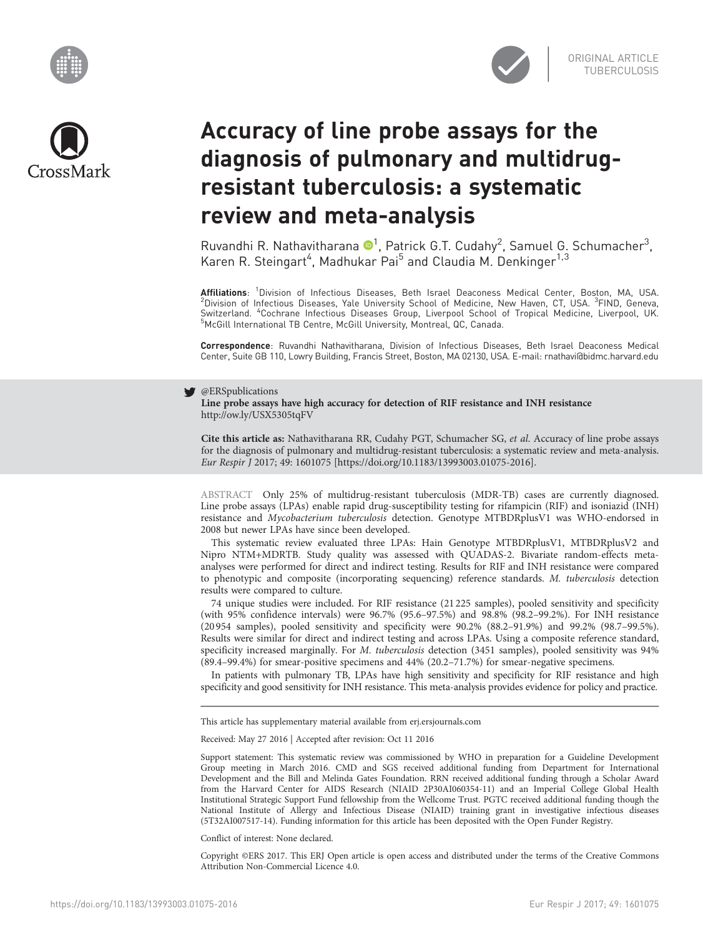





# Accuracy of line probe assays for the diagnosis of pulmonary and multidrugresistant tuberculosis: a systematic review and meta-analysis

Ruvandhi R. Nathavitharana <sup>®1</sup>, Patrick G.T. Cudahy<sup>2</sup>, Samuel G. Schumacher<sup>3</sup>, Karen R. Steingart<sup>4</sup>, Madhukar Pai<sup>5</sup> and Claudia M. Denkinger<sup>1,3</sup>

Affiliations: <sup>1</sup>Division of Infectious Diseases, Beth Israel Deaconess Medical Center, Boston, MA, USA.<br><sup>2</sup>Division of Infectious Diseases, Yale University School of Medicine, Now Haven, CT, USA. <sup>3</sup>EIND, Geneva Division of Infectious Diseases, Yale University School of Medicine, New Haven, CT, USA. <sup>3</sup>FIND, Geneva, Switzerland. <sup>4</sup>Cochrane Infectious Diseases Group, Liverpool School of Tropical Medicine, Liverpool, UK.<br><sup>5</sup>McGill International TB Contre McGill University Montreal OC Canada. McGill International TB Centre, McGill University, Montreal, QC, Canada.

Correspondence: Ruvandhi Nathavitharana, Division of Infectious Diseases, Beth Israel Deaconess Medical Center, Suite GB 110, Lowry Building, Francis Street, Boston, MA 02130, USA. E-mail: [rnathavi@bidmc.harvard.edu](mailto:rnathavi@bidmc.harvard.edu)

# **S** @ERSpublications

Line probe assays have high accuracy for detection of RIF resistance and INH resistance <http://ow.ly/USX5305tqFV>

Cite this article as: Nathavitharana RR, Cudahy PGT, Schumacher SG, et al. Accuracy of line probe assays for the diagnosis of pulmonary and multidrug-resistant tuberculosis: a systematic review and meta-analysis. Eur Respir J 2017; 49: 1601075 [\[https://doi.org/10.1183/13993003.01075-2016\].](https://doi.org/10.1183/13993003.01075-2016)

ABSTRACT Only 25% of multidrug-resistant tuberculosis (MDR-TB) cases are currently diagnosed. Line probe assays (LPAs) enable rapid drug-susceptibility testing for rifampicin (RIF) and isoniazid (INH) resistance and Mycobacterium tuberculosis detection. Genotype MTBDRplusV1 was WHO-endorsed in 2008 but newer LPAs have since been developed.

This systematic review evaluated three LPAs: Hain Genotype MTBDRplusV1, MTBDRplusV2 and Nipro NTM+MDRTB. Study quality was assessed with QUADAS-2. Bivariate random-effects metaanalyses were performed for direct and indirect testing. Results for RIF and INH resistance were compared to phenotypic and composite (incorporating sequencing) reference standards. M. tuberculosis detection results were compared to culture.

74 unique studies were included. For RIF resistance (21 225 samples), pooled sensitivity and specificity (with 95% confidence intervals) were 96.7% (95.6–97.5%) and 98.8% (98.2–99.2%). For INH resistance (20 954 samples), pooled sensitivity and specificity were 90.2% (88.2–91.9%) and 99.2% (98.7–99.5%). Results were similar for direct and indirect testing and across LPAs. Using a composite reference standard, specificity increased marginally. For M. tuberculosis detection (3451 samples), pooled sensitivity was 94% (89.4–99.4%) for smear-positive specimens and 44% (20.2–71.7%) for smear-negative specimens.

In patients with pulmonary TB, LPAs have high sensitivity and specificity for RIF resistance and high specificity and good sensitivity for INH resistance. This meta-analysis provides evidence for policy and practice.

This article has supplementary material available from<erj.ersjournals.com>

Received: May 27 2016 | Accepted after revision: Oct 11 2016

Support statement: This systematic review was commissioned by WHO in preparation for a Guideline Development Group meeting in March 2016. CMD and SGS received additional funding from Department for International Development and the Bill and Melinda Gates Foundation. RRN received additional funding through a Scholar Award from the Harvard Center for AIDS Research (NIAID 2P30AI060354-11) and an Imperial College Global Health Institutional Strategic Support Fund fellowship from the Wellcome Trust. PGTC received additional funding though the National Institute of Allergy and Infectious Disease (NIAID) training grant in investigative infectious diseases (5T32AI007517-14). Funding information for this article has been deposited with the [Open Funder Registry.](http://www.crossref.org/fundingdata/)

Conflict of interest: None declared.

Copyright ©ERS 2017. This ERJ Open article is open access and distributed under the terms of the Creative Commons Attribution Non-Commercial Licence 4.0.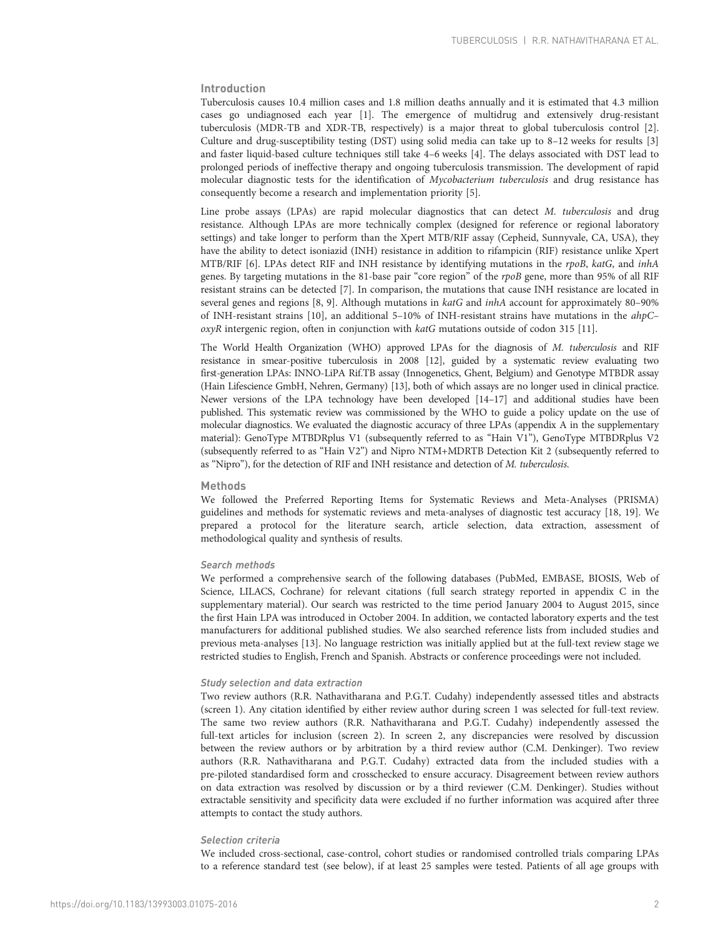# Introduction

Tuberculosis causes 10.4 million cases and 1.8 million deaths annually and it is estimated that 4.3 million cases go undiagnosed each year [[1](#page-19-0)]. The emergence of multidrug and extensively drug-resistant tuberculosis (MDR-TB and XDR-TB, respectively) is a major threat to global tuberculosis control [\[2](#page-19-0)]. Culture and drug-susceptibility testing (DST) using solid media can take up to 8–12 weeks for results [\[3](#page-19-0)] and faster liquid-based culture techniques still take 4–6 weeks [[4](#page-19-0)]. The delays associated with DST lead to prolonged periods of ineffective therapy and ongoing tuberculosis transmission. The development of rapid molecular diagnostic tests for the identification of Mycobacterium tuberculosis and drug resistance has consequently become a research and implementation priority [[5](#page-19-0)].

Line probe assays (LPAs) are rapid molecular diagnostics that can detect M. tuberculosis and drug resistance. Although LPAs are more technically complex (designed for reference or regional laboratory settings) and take longer to perform than the Xpert MTB/RIF assay (Cepheid, Sunnyvale, CA, USA), they have the ability to detect isoniazid (INH) resistance in addition to rifampicin (RIF) resistance unlike Xpert MTB/RIF [\[6\]](#page-19-0). LPAs detect RIF and INH resistance by identifying mutations in the rpoB, katG, and inhA genes. By targeting mutations in the 81-base pair "core region" of the rpoB gene, more than 95% of all RIF resistant strains can be detected [[7](#page-19-0)]. In comparison, the mutations that cause INH resistance are located in several genes and regions [[8, 9](#page-19-0)]. Although mutations in *katG* and *inhA* account for approximately 80–90% of INH-resistant strains [\[10](#page-19-0)], an additional 5–10% of INH-resistant strains have mutations in the ahpC– oxyR intergenic region, often in conjunction with katG mutations outside of codon 315 [[11](#page-19-0)].

The World Health Organization (WHO) approved LPAs for the diagnosis of M. tuberculosis and RIF resistance in smear-positive tuberculosis in 2008 [[12](#page-19-0)], guided by a systematic review evaluating two first-generation LPAs: INNO-LiPA Rif.TB assay (Innogenetics, Ghent, Belgium) and Genotype MTBDR assay (Hain Lifescience GmbH, Nehren, Germany) [\[13\]](#page-19-0), both of which assays are no longer used in clinical practice. Newer versions of the LPA technology have been developed [[14](#page-19-0)–[17](#page-19-0)] and additional studies have been published. This systematic review was commissioned by the WHO to guide a policy update on the use of molecular diagnostics. We evaluated the diagnostic accuracy of three LPAs (appendix A in the supplementary material): GenoType MTBDRplus V1 (subsequently referred to as "Hain V1"), GenoType MTBDRplus V2 (subsequently referred to as "Hain V2") and Nipro NTM+MDRTB Detection Kit 2 (subsequently referred to as "Nipro"), for the detection of RIF and INH resistance and detection of M. tuberculosis.

# Methods

We followed the Preferred Reporting Items for Systematic Reviews and Meta-Analyses (PRISMA) guidelines and methods for systematic reviews and meta-analyses of diagnostic test accuracy [[18](#page-19-0), [19](#page-19-0)]. We prepared a protocol for the literature search, article selection, data extraction, assessment of methodological quality and synthesis of results.

# Search methods

We performed a comprehensive search of the following databases (PubMed, EMBASE, BIOSIS, Web of Science, LILACS, Cochrane) for relevant citations (full search strategy reported in appendix C in the supplementary material). Our search was restricted to the time period January 2004 to August 2015, since the first Hain LPA was introduced in October 2004. In addition, we contacted laboratory experts and the test manufacturers for additional published studies. We also searched reference lists from included studies and previous meta-analyses [\[13\]](#page-19-0). No language restriction was initially applied but at the full-text review stage we restricted studies to English, French and Spanish. Abstracts or conference proceedings were not included.

# Study selection and data extraction

Two review authors (R.R. Nathavitharana and P.G.T. Cudahy) independently assessed titles and abstracts (screen 1). Any citation identified by either review author during screen 1 was selected for full-text review. The same two review authors (R.R. Nathavitharana and P.G.T. Cudahy) independently assessed the full-text articles for inclusion (screen 2). In screen 2, any discrepancies were resolved by discussion between the review authors or by arbitration by a third review author (C.M. Denkinger). Two review authors (R.R. Nathavitharana and P.G.T. Cudahy) extracted data from the included studies with a pre-piloted standardised form and crosschecked to ensure accuracy. Disagreement between review authors on data extraction was resolved by discussion or by a third reviewer (C.M. Denkinger). Studies without extractable sensitivity and specificity data were excluded if no further information was acquired after three attempts to contact the study authors.

# Selection criteria

We included cross-sectional, case-control, cohort studies or randomised controlled trials comparing LPAs to a reference standard test (see below), if at least 25 samples were tested. Patients of all age groups with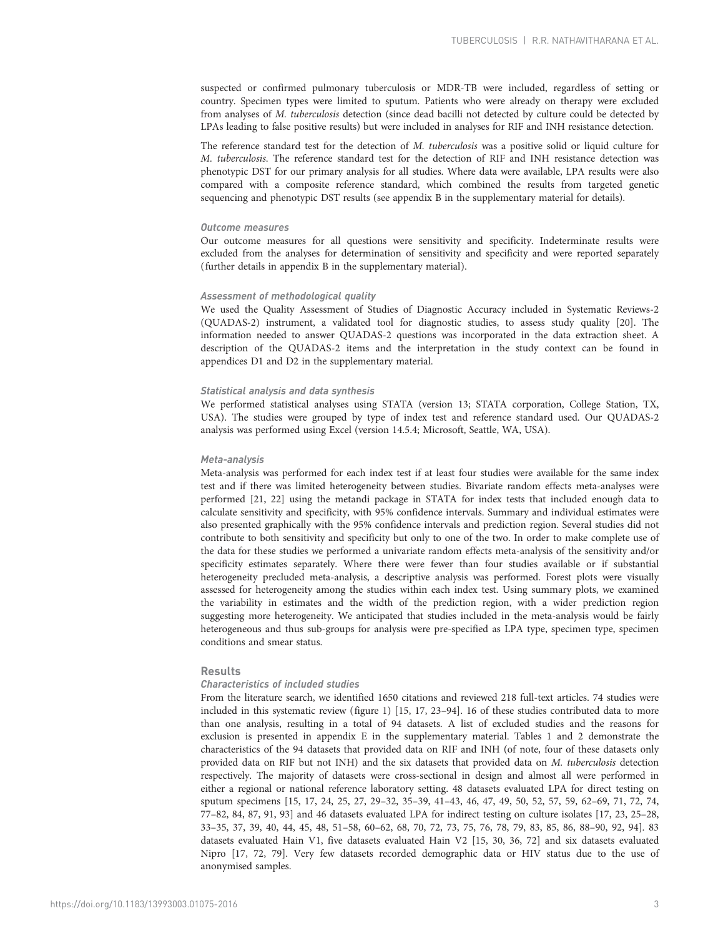suspected or confirmed pulmonary tuberculosis or MDR-TB were included, regardless of setting or country. Specimen types were limited to sputum. Patients who were already on therapy were excluded from analyses of M. tuberculosis detection (since dead bacilli not detected by culture could be detected by LPAs leading to false positive results) but were included in analyses for RIF and INH resistance detection.

The reference standard test for the detection of M. tuberculosis was a positive solid or liquid culture for M. tuberculosis. The reference standard test for the detection of RIF and INH resistance detection was phenotypic DST for our primary analysis for all studies. Where data were available, LPA results were also compared with a composite reference standard, which combined the results from targeted genetic sequencing and phenotypic DST results (see appendix B in the supplementary material for details).

#### Outcome measures

Our outcome measures for all questions were sensitivity and specificity. Indeterminate results were excluded from the analyses for determination of sensitivity and specificity and were reported separately (further details in appendix B in the supplementary material).

#### Assessment of methodological quality

We used the Quality Assessment of Studies of Diagnostic Accuracy included in Systematic Reviews-2 (QUADAS-2) instrument, a validated tool for diagnostic studies, to assess study quality [\[20\]](#page-19-0). The information needed to answer QUADAS-2 questions was incorporated in the data extraction sheet. A description of the QUADAS-2 items and the interpretation in the study context can be found in appendices D1 and D2 in the supplementary material.

# Statistical analysis and data synthesis

We performed statistical analyses using STATA (version 13; STATA corporation, College Station, TX, USA). The studies were grouped by type of index test and reference standard used. Our QUADAS-2 analysis was performed using Excel (version 14.5.4; Microsoft, Seattle, WA, USA).

# Meta-analysis

Meta-analysis was performed for each index test if at least four studies were available for the same index test and if there was limited heterogeneity between studies. Bivariate random effects meta-analyses were performed [\[21, 22](#page-19-0)] using the metandi package in STATA for index tests that included enough data to calculate sensitivity and specificity, with 95% confidence intervals. Summary and individual estimates were also presented graphically with the 95% confidence intervals and prediction region. Several studies did not contribute to both sensitivity and specificity but only to one of the two. In order to make complete use of the data for these studies we performed a univariate random effects meta-analysis of the sensitivity and/or specificity estimates separately. Where there were fewer than four studies available or if substantial heterogeneity precluded meta-analysis, a descriptive analysis was performed. Forest plots were visually assessed for heterogeneity among the studies within each index test. Using summary plots, we examined the variability in estimates and the width of the prediction region, with a wider prediction region suggesting more heterogeneity. We anticipated that studies included in the meta-analysis would be fairly heterogeneous and thus sub-groups for analysis were pre-specified as LPA type, specimen type, specimen conditions and smear status.

# Results

# Characteristics of included studies

From the literature search, we identified 1650 citations and reviewed 218 full-text articles. 74 studies were included in this systematic review ([figure 1](#page-3-0)) [[15](#page-19-0), [17](#page-19-0), [23](#page-19-0)–[94](#page-21-0)]. 16 of these studies contributed data to more than one analysis, resulting in a total of 94 datasets. A list of excluded studies and the reasons for exclusion is presented in appendix E in the supplementary material. [Tables 1](#page-4-0) and [2](#page-9-0) demonstrate the characteristics of the 94 datasets that provided data on RIF and INH (of note, four of these datasets only provided data on RIF but not INH) and the six datasets that provided data on M. tuberculosis detection respectively. The majority of datasets were cross-sectional in design and almost all were performed in either a regional or national reference laboratory setting. 48 datasets evaluated LPA for direct testing on sputum specimens [\[15, 17, 24, 25, 27, 29](#page-19-0)–[32,](#page-19-0) [35](#page-20-0)–[39, 41](#page-20-0)–[43, 46, 47, 49, 50, 52, 57, 59, 62](#page-20-0)–[69, 71, 72](#page-21-0), [74](#page-21-0), [77](#page-21-0)–[82, 84](#page-21-0), [87, 91](#page-21-0), [93\]](#page-21-0) and 46 datasets evaluated LPA for indirect testing on culture isolates [[17](#page-19-0), [23, 25](#page-19-0)–[28](#page-19-0), [33](#page-19-0)–[35, 37, 39](#page-20-0), [40](#page-20-0), [44](#page-20-0), [45](#page-20-0), [48](#page-20-0), [51](#page-20-0)–[58, 60](#page-20-0)–[62,](#page-20-0) [68](#page-21-0), [70](#page-21-0), [72](#page-21-0), [73](#page-21-0), [75](#page-21-0), [76](#page-21-0), [78, 79, 83, 85, 86, 88](#page-21-0)–[90](#page-21-0), [92](#page-21-0), [94](#page-21-0)]. 83 datasets evaluated Hain V1, five datasets evaluated Hain V2 [\[15, 30](#page-19-0), [36](#page-20-0), [72\]](#page-21-0) and six datasets evaluated Nipro [\[17,](#page-19-0) [72](#page-21-0), [79\]](#page-21-0). Very few datasets recorded demographic data or HIV status due to the use of anonymised samples.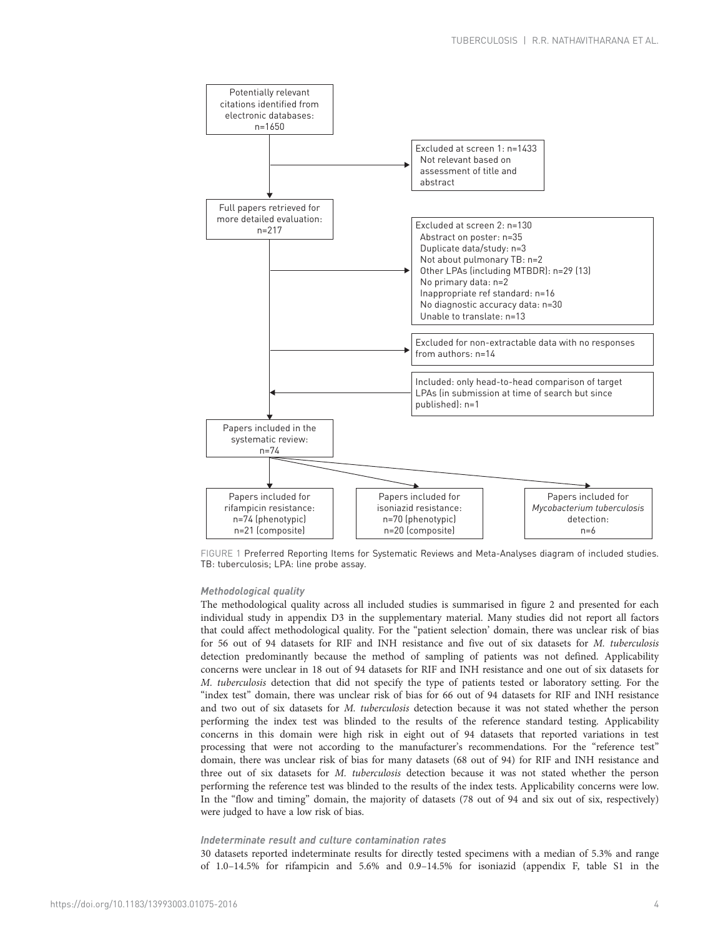<span id="page-3-0"></span>

FIGURE 1 Preferred Reporting Items for Systematic Reviews and Meta-Analyses diagram of included studies. TB: tuberculosis; LPA: line probe assay.

# Methodological quality

The methodological quality across all included studies is summarised in [figure 2](#page-10-0) and presented for each individual study in appendix D3 in the supplementary material. Many studies did not report all factors that could affect methodological quality. For the "patient selection' domain, there was unclear risk of bias for 56 out of 94 datasets for RIF and INH resistance and five out of six datasets for M. tuberculosis detection predominantly because the method of sampling of patients was not defined. Applicability concerns were unclear in 18 out of 94 datasets for RIF and INH resistance and one out of six datasets for M. tuberculosis detection that did not specify the type of patients tested or laboratory setting. For the "index test" domain, there was unclear risk of bias for 66 out of 94 datasets for RIF and INH resistance and two out of six datasets for M. tuberculosis detection because it was not stated whether the person performing the index test was blinded to the results of the reference standard testing. Applicability concerns in this domain were high risk in eight out of 94 datasets that reported variations in test processing that were not according to the manufacturer's recommendations. For the "reference test" domain, there was unclear risk of bias for many datasets (68 out of 94) for RIF and INH resistance and three out of six datasets for M. tuberculosis detection because it was not stated whether the person performing the reference test was blinded to the results of the index tests. Applicability concerns were low. In the "flow and timing" domain, the majority of datasets (78 out of 94 and six out of six, respectively) were judged to have a low risk of bias.

# Indeterminate result and culture contamination rates

30 datasets reported indeterminate results for directly tested specimens with a median of 5.3% and range of 1.0–14.5% for rifampicin and 5.6% and 0.9–14.5% for isoniazid (appendix F, table S1 in the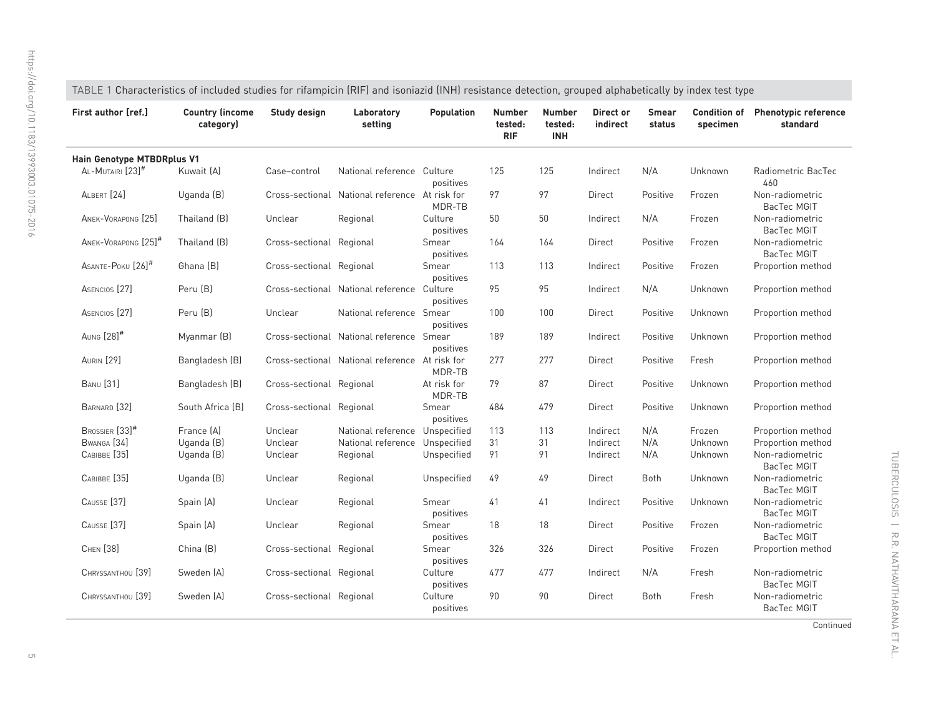<span id="page-4-0"></span>

| First author [ref.]             | <b>Country (income</b><br>category) | Study design             | Laboratory<br>setting                          | <b>Population</b>     | <b>Number</b><br>tested:<br><b>RIF</b> | <b>Number</b><br>tested:<br><b>INH</b> | Direct or<br>indirect | <b>Smear</b><br>status | <b>Condition of</b><br>specimen | <b>Phenotypic reference</b><br>standard |  |
|---------------------------------|-------------------------------------|--------------------------|------------------------------------------------|-----------------------|----------------------------------------|----------------------------------------|-----------------------|------------------------|---------------------------------|-----------------------------------------|--|
| Hain Genotype MTBDRplus V1      |                                     |                          |                                                |                       |                                        |                                        |                       |                        |                                 |                                         |  |
| AL-MUTAIRI [23] <sup>#</sup>    | Kuwait [A]                          | Case-control             | National reference Culture                     | positives             | 125                                    | 125                                    | Indirect              | N/A                    | Unknown                         | Radiometric BacTec<br>460               |  |
| ALBERT [24]                     | Uganda (B)                          |                          | Cross-sectional National reference At risk for | MDR-TB                | 97                                     | 97                                     | Direct                | Positive               | Frozen                          | Non-radiometric<br>BacTec MGIT          |  |
| ANEK-VORAPONG [25]              | Thailand (B)                        | Unclear                  | Regional                                       | Culture<br>positives  | 50                                     | 50                                     | Indirect              | N/A                    | Frozen                          | Non-radiometric<br>BacTec MGIT          |  |
| ANEK-VORAPONG [25] <sup>#</sup> | Thailand (B)                        | Cross-sectional Regional |                                                | Smear<br>positives    | 164                                    | 164                                    | Direct                | Positive               | Frozen                          | Non-radiometric<br><b>BacTec MGIT</b>   |  |
| ASANTE-POKU [26] <sup>#</sup>   | Ghana [B]                           | Cross-sectional Regional |                                                | Smear<br>positives    | 113                                    | 113                                    | Indirect              | Positive               | Frozen                          | Proportion method                       |  |
| ASENCIOS <sup>[27]</sup>        | Peru [B]                            |                          | Cross-sectional National reference Culture     | positives             | 95                                     | 95                                     | Indirect              | N/A                    | Unknown                         | Proportion method                       |  |
| ASENCIOS <sup>[27]</sup>        | Peru (B)                            | Unclear                  | National reference Smear                       | positives             | 100                                    | 100                                    | Direct                | Positive               | Unknown                         | Proportion method                       |  |
| AUNG [28] <sup>#</sup>          | Myanmar (B)                         |                          | Cross-sectional National reference Smear       | positives             | 189                                    | 189                                    | Indirect              | Positive               | Unknown                         | Proportion method                       |  |
| <b>AURIN</b> [29]               | Bangladesh (B)                      |                          | Cross-sectional National reference At risk for | MDR-TB                | 277                                    | 277                                    | Direct                | Positive               | Fresh                           | Proportion method                       |  |
| <b>BANU</b> [31]                | Bangladesh (B)                      | Cross-sectional Regional |                                                | At risk for<br>MDR-TB | 79                                     | 87                                     | Direct                | Positive               | Unknown                         | Proportion method                       |  |
| BARNARD [32]                    | South Africa (B)                    | Cross-sectional Regional |                                                | Smear<br>positives    | 484                                    | 479                                    | Direct                | Positive               | Unknown                         | Proportion method                       |  |
| BROSSIER [33]#                  | France [A]                          | Unclear                  | National reference Unspecified                 |                       | 113                                    | 113                                    | Indirect              | N/A                    | Frozen                          | Proportion method                       |  |
| BWANGA <sup>[34]</sup>          | Uganda (B)                          | Unclear                  | National reference Unspecified                 |                       | 31                                     | 31                                     | Indirect              | N/A                    | Unknown                         | Proportion method                       |  |
| CABIBBE [35]                    | Uganda (B)                          | Unclear                  | Regional                                       | Unspecified           | 91                                     | 91                                     | Indirect              | N/A                    | Unknown                         | Non-radiometric<br>BacTec MGIT          |  |
| CABIBBE <sup>[35]</sup>         | Uganda (B)                          | Unclear                  | Regional                                       | Unspecified           | 49                                     | 49                                     | Direct                | <b>Both</b>            | Unknown                         | Non-radiometric<br>BacTec MGIT          |  |
| CAUSSE [37]                     | Spain (A)                           | Unclear                  | Regional                                       | Smear<br>positives    | 41                                     | 41                                     | Indirect              | Positive               | Unknown                         | Non-radiometric<br>BacTec MGIT          |  |
| CAUSSE <sup>[37]</sup>          | Spain (A)                           | Unclear                  | Regional                                       | Smear<br>positives    | 18                                     | 18                                     | Direct                | Positive               | Frozen                          | Non-radiometric<br>BacTec MGIT          |  |
| CHEN [38]                       | China (B)                           | Cross-sectional Regional |                                                | Smear<br>positives    | 326                                    | 326                                    | Direct                | Positive               | Frozen                          | Proportion method                       |  |
| CHRYSSANTHOU [39]               | Sweden (A)                          | Cross-sectional Regional |                                                | Culture<br>positives  | 477                                    | 477                                    | Indirect              | N/A                    | Fresh                           | Non-radiometric<br>BacTec MGIT          |  |
| CHRYSSANTHOU [39]               | Sweden (A)                          | Cross-sectional Regional |                                                | Culture<br>positives  | 90                                     | 90                                     | Direct                | Both                   | Fresh                           | Non-radiometric<br>BacTec MGIT          |  |

Continued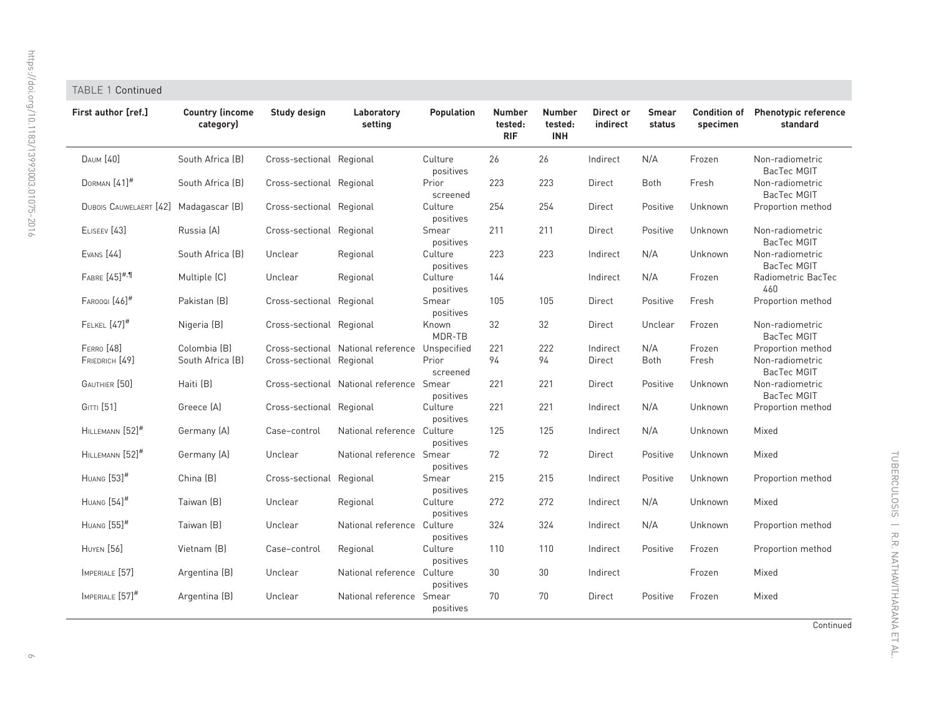| First author [ref.]            | <b>Country (income</b><br>category) | Study design             | Laboratory<br>setting                    | <b>Population</b>    | <b>Number</b><br>tested:<br><b>RIF</b> | <b>Number</b><br>tested:<br><b>INH</b> | Direct or<br>indirect | <b>Smear</b><br>status | <b>Condition of</b><br>specimen | <b>Phenotypic referer</b><br>standard |
|--------------------------------|-------------------------------------|--------------------------|------------------------------------------|----------------------|----------------------------------------|----------------------------------------|-----------------------|------------------------|---------------------------------|---------------------------------------|
| <b>DAUM</b> [40]               | South Africa (B)                    | Cross-sectional Regional |                                          | Culture<br>positives | 26                                     | 26                                     | Indirect              | N/A                    | Frozen                          | Non-radiometric<br>BacTec MGIT        |
| DORMAN $[41]$ <sup>#</sup>     | South Africa (B)                    | Cross-sectional Regional |                                          | Prior<br>screened    | 223                                    | 223                                    | Direct                | Both                   | Fresh                           | Non-radiometric<br>BacTec MGIT        |
| <b>DUBOIS CAUWELAERT</b> [42]  | Madagascar (B)                      | Cross-sectional Regional |                                          | Culture<br>positives | 254                                    | 254                                    | Direct                | Positive               | Unknown                         | Proportion method                     |
| ELISEEV <sub>[43]</sub>        | Russia (A)                          | Cross-sectional          | Regional                                 | Smear<br>positives   | 211                                    | 211                                    | Direct                | Positive               | Unknown                         | Non-radiometric<br>BacTec MGIT        |
| <b>EVANS</b> [44]              | South Africa (B)                    | Unclear                  | Regional                                 | Culture<br>positives | 223                                    | 223                                    | Indirect              | N/A                    | Unknown                         | Non-radiometric<br>BacTec MGIT        |
| FABRE [45] <sup>#,¶</sup>      | Multiple (C)                        | Unclear                  | Regional                                 | Culture<br>positives | 144                                    |                                        | Indirect              | N/A                    | Frozen                          | Radiometric BacTe<br>460              |
| $F$ AROOQI $[46]$ <sup>#</sup> | Pakistan (B)                        | Cross-sectional Regional |                                          | Smear<br>positives   | 105                                    | 105                                    | Direct                | Positive               | Fresh                           | Proportion method                     |
| FELKEL $[47]$ <sup>#</sup>     | Nigeria (B)                         | Cross-sectional Regional |                                          | Known<br>MDR-TB      | 32                                     | 32                                     | Direct                | Unclear                | Frozen                          | Non-radiometric<br>BacTec MGIT        |
| FERRO [48]                     | Colombia (B)                        |                          | Cross-sectional National reference       | Unspecified          | 221                                    | 222                                    | Indirect              | N/A                    | Frozen                          | Proportion method                     |
| FRIEDRICH [49]                 | South Africa (B)                    | Cross-sectional Regional |                                          | Prior<br>screened    | 94                                     | 94                                     | Direct                | Both                   | Fresh                           | Non-radiometric<br>BacTec MGIT        |
| GAUTHIER [50]                  | Haiti (B)                           |                          | Cross-sectional National reference Smear | positives            | 221                                    | 221                                    | Direct                | Positive               | Unknown                         | Non-radiometric<br>BacTec MGIT        |
| GITTI [51]                     | Greece (A)                          | Cross-sectional Regional |                                          | Culture<br>positives | 221                                    | 221                                    | Indirect              | N/A                    | Unknown                         | Proportion method                     |
| HILLEMANN [52] <sup>#</sup>    | Germany (A)                         | Case-control             | National reference Culture               | positives            | 125                                    | 125                                    | Indirect              | N/A                    | Unknown                         | Mixed                                 |
| HILLEMANN [52] <sup>#</sup>    | Germany (A)                         | Unclear                  | National reference Smear                 | positives            | 72                                     | 72                                     | Direct                | Positive               | Unknown                         | Mixed                                 |
| HUANG [53] <sup>#</sup>        | China [B]                           | Cross-sectional          | Regional                                 | Smear<br>positives   | 215                                    | 215                                    | Indirect              | Positive               | Unknown                         | Proportion method                     |
| HUANG [54] <sup>#</sup>        | Taiwan (B)                          | Unclear                  | Regional                                 | Culture<br>positives | 272                                    | 272                                    | Indirect              | N/A                    | Unknown                         | Mixed                                 |
| HUANG [55] <sup>#</sup>        | Taiwan (B)                          | Unclear                  | National reference Culture               |                      | 324                                    | 324                                    | Indirect              | N/A                    | Unknown                         | Proportion method                     |

Vietnam (B) Case–control Regional Culture

Argentina (B) Unclear National reference Culture

Argentina (B) Unclear National reference Smear

positives

positives

positives

positives

# TABLE 1 Continued

| l :ontinued |  |
|-------------|--|
|-------------|--|

Condition of Phenotypic reference

Mixed

Mixed

110 110 Indirect Positive Frozen Proportion method

30 30 Indirect Frozen

70 70 Direct Positive Frozen

 $\circ$ 

HUYEN<sup>[56]</sup>

IMPERIALE [57]

IMPERIALE [57]<sup>#</sup>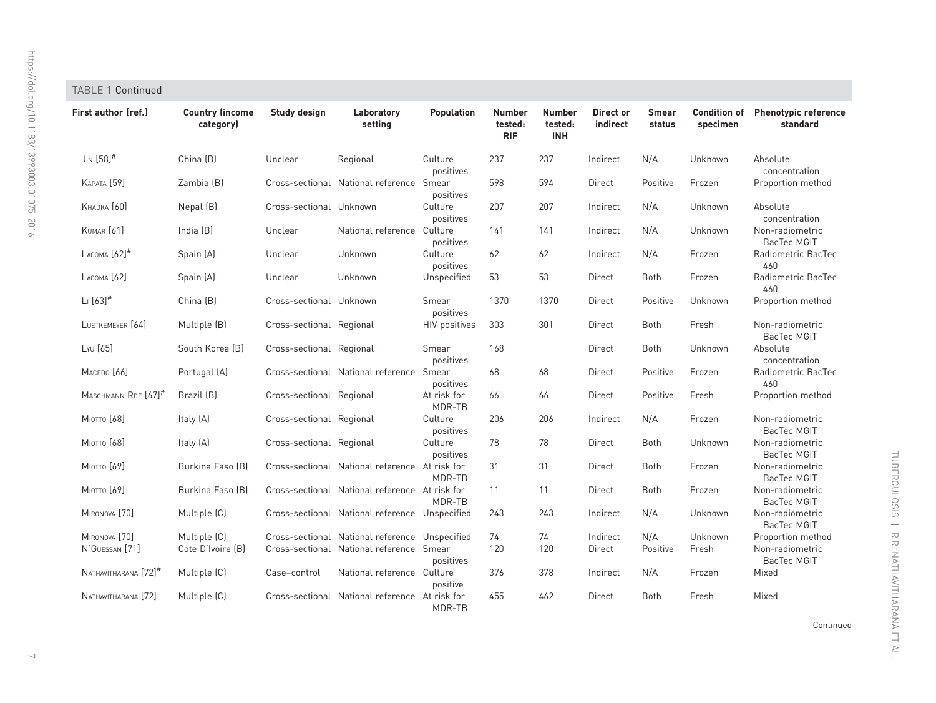# TABLE 1 Continued

| First author [ref.]              | <b>Country (income</b><br>category) | Study design             | Laboratory<br>setting                          | Population            | <b>Number</b><br>tested:<br><b>RIF</b> | <b>Number</b><br>tested:<br><b>INH</b> | Direct or<br>indirect | <b>Smear</b><br>status | <b>Condition of</b><br>specimen | <b>Phenotypic reference</b><br>standard |
|----------------------------------|-------------------------------------|--------------------------|------------------------------------------------|-----------------------|----------------------------------------|----------------------------------------|-----------------------|------------------------|---------------------------------|-----------------------------------------|
| $J_{IN}$ [58] <sup>#</sup>       | China (B)                           | Unclear                  | Regional                                       | Culture<br>positives  | 237                                    | 237                                    | Indirect              | N/A                    | Unknown                         | Absolute<br>concentration               |
| <b>КАРАТА</b> [59]               | Zambia (B)                          |                          | Cross-sectional National reference Smear       | positives             | 598                                    | 594                                    | Direct                | Positive               | Frozen                          | Proportion method                       |
| KHADKA [60]                      | Nepal (B)                           | Cross-sectional Unknown  |                                                | Culture<br>positives  | 207                                    | 207                                    | Indirect              | N/A                    | Unknown                         | Absolute<br>concentration               |
| <b>KUMAR</b> [61]                | India (B)                           | Unclear                  | National reference Culture                     | positives             | 141                                    | 141                                    | Indirect              | N/A                    | Unknown                         | Non-radiometric<br>BacTec MGIT          |
| LACOMA $[62]$ <sup>#</sup>       | Spain (A)                           | Unclear                  | Unknown                                        | Culture<br>positives  | 62                                     | 62                                     | Indirect              | N/A                    | Frozen                          | Radiometric BacTec<br>460               |
| LACOMA [62]                      | Spain (A)                           | Unclear                  | Unknown                                        | Unspecified           | 53                                     | 53                                     | Direct                | Both                   | Frozen                          | Radiometric BacTec<br>460               |
| $L: [63]^{#}$                    | China (B)                           | Cross-sectional Unknown  |                                                | Smear<br>positives    | 1370                                   | 1370                                   | Direct                | Positive               | Unknown                         | Proportion method                       |
| LUETKEMEYER [64]                 | Multiple (B)                        | Cross-sectional Regional |                                                | <b>HIV positives</b>  | 303                                    | 301                                    | Direct                | Both                   | Fresh                           | Non-radiometric<br>BacTec MGIT          |
| LYU [65]                         | South Korea (B)                     | Cross-sectional Regional |                                                | Smear<br>positives    | 168                                    |                                        | Direct                | <b>Both</b>            | Unknown                         | Absolute<br>concentration               |
| MACEDO <sup>[66]</sup>           | Portugal (A)                        |                          | Cross-sectional National reference Smear       | positives             | 68                                     | 68                                     | Direct                | Positive               | Frozen                          | Radiometric BacTec<br>460               |
| MASCHMANN RDE [67] <sup>#</sup>  | Brazil (B)                          | Cross-sectional Regional |                                                | At risk for<br>MDR-TB | 66                                     | 66                                     | Direct                | Positive               | Fresh                           | Proportion method                       |
| Мютто [68]                       | Italy (A)                           | Cross-sectional Regional |                                                | Culture<br>positives  | 206                                    | 206                                    | Indirect              | N/A                    | Frozen                          | Non-radiometric<br>BacTec MGIT          |
| Мютто [68]                       | Italy (A)                           | Cross-sectional Regional |                                                | Culture<br>positives  | 78                                     | 78                                     | Direct                | Both                   | Unknown                         | Non-radiometric<br>BacTec MGIT          |
| Мютто [69]                       | Burkina Faso (B)                    |                          | Cross-sectional National reference At risk for | MDR-TB                | 31                                     | 31                                     | Direct                | <b>Both</b>            | Frozen                          | Non-radiometric<br>BacTec MGIT          |
| Мютто [69]                       | Burkina Faso (B)                    |                          | Cross-sectional National reference At risk for | MDR-TB                | 11                                     | 11                                     | Direct                | Both                   | Frozen                          | Non-radiometric<br>BacTec MGIT          |
| MIRONOVA [70]                    | Multiple (C)                        |                          | Cross-sectional National reference Unspecified |                       | 243                                    | 243                                    | Indirect              | N/A                    | Unknown                         | Non-radiometric<br>BacTec MGIT          |
| MIRONOVA [70]                    | Multiple (C)                        |                          | Cross-sectional National reference Unspecified |                       | 74                                     | 74                                     | Indirect              | N/A                    | Unknown                         | Proportion method                       |
| N'GUESSAN <sup>[71]</sup>        | Cote D'Ivoire (B)                   |                          | Cross-sectional National reference Smear       | positives             | 120                                    | 120                                    | Direct                | Positive               | Fresh                           | Non-radiometric<br>BacTec MGIT          |
| NATHAVITHARANA [72] <sup>#</sup> | Multiple (C)                        | Case-control             | National reference Culture                     | positive              | 376                                    | 378                                    | Indirect              | N/A                    | Frozen                          | Mixed                                   |
| NATHAVITHARANA [72]              | Multiple (C)                        |                          | Cross-sectional National reference At risk for | MDR-TB                | 455                                    | 462                                    | Direct                | <b>Both</b>            | Fresh                           | Mixed                                   |

Continued

 $\small\smile$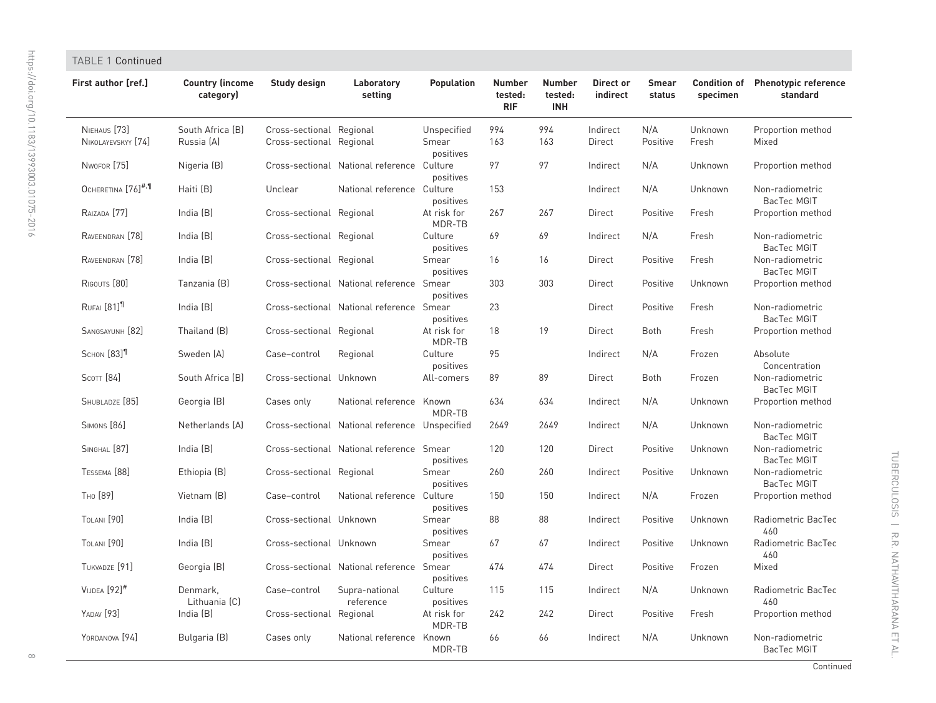| TABLE 1 Continued                  |                                     |                                                      |                                                |                                   |                                        |                                        |                       |                        |                                 |                                         |
|------------------------------------|-------------------------------------|------------------------------------------------------|------------------------------------------------|-----------------------------------|----------------------------------------|----------------------------------------|-----------------------|------------------------|---------------------------------|-----------------------------------------|
| First author [ref.]                | <b>Country (income</b><br>category) | Study design                                         | Laboratory<br>setting                          | Population                        | <b>Number</b><br>tested:<br><b>RIF</b> | <b>Number</b><br>tested:<br><b>INH</b> | Direct or<br>indirect | <b>Smear</b><br>status | <b>Condition of</b><br>specimen | <b>Phenotypic reference</b><br>standard |
| NIEHAUS [73]<br>NIKOLAYEVSKYY [74] | South Africa (B)<br>Russia (A)      | Cross-sectional Regional<br>Cross-sectional Regional |                                                | Unspecified<br>Smear<br>positives | 994<br>163                             | 994<br>163                             | Indirect<br>Direct    | N/A<br>Positive        | Unknown<br>Fresh                | Proportion method<br>Mixed              |
| NWOFOR [75]                        | Nigeria (B)                         |                                                      | Cross-sectional National reference Culture     | positives                         | 97                                     | 97                                     | Indirect              | N/A                    | Unknown                         | Proportion method                       |
| OCHERETINA [76] <sup>#,¶</sup>     | Haiti (B)                           | Unclear                                              | National reference Culture                     | positives                         | 153                                    |                                        | Indirect              | N/A                    | Unknown                         | Non-radiometric<br><b>BacTec MGIT</b>   |
| RAIZADA [77]                       | India $(B)$                         | Cross-sectional Regional                             |                                                | At risk for<br>MDR-TB             | 267                                    | 267                                    | Direct                | Positive               | Fresh                           | Proportion method                       |
| RAVEENDRAN <sup>[78]</sup>         | India (B)                           | Cross-sectional Regional                             |                                                | Culture<br>positives              | 69                                     | 69                                     | Indirect              | N/A                    | Fresh                           | Non-radiometric<br>BacTec MGIT          |
| RAVEENDRAN <sup>[78]</sup>         | India $(B)$                         | Cross-sectional Regional                             |                                                | Smear<br>positives                | 16                                     | 16                                     | Direct                | Positive               | Fresh                           | Non-radiometric<br>BacTec MGIT          |
| RIGOUTS [80]                       | Tanzania (B)                        |                                                      | Cross-sectional National reference Smear       | positives                         | 303                                    | 303                                    | Direct                | Positive               | Unknown                         | Proportion method                       |
| RUFAI [81] <sup>11</sup>           | India $(B)$                         |                                                      | Cross-sectional National reference Smear       | positives                         | 23                                     |                                        | Direct                | Positive               | Fresh                           | Non-radiometric<br>BacTec MGIT          |
| SANGSAYUNH [82]                    | Thailand (B)                        | Cross-sectional Regional                             |                                                | At risk for<br>MDR-TB             | 18                                     | 19                                     | Direct                | <b>Both</b>            | Fresh                           | Proportion method                       |
| SCHON [83] <sup>11</sup>           | Sweden [A]                          | Case-control                                         | Regional                                       | Culture<br>positives              | 95                                     |                                        | Indirect              | N/A                    | Frozen                          | Absolute<br>Concentration               |
| SCOTT [84]                         | South Africa (B)                    | Cross-sectional Unknown                              |                                                | All-comers                        | 89                                     | 89                                     | Direct                | <b>Both</b>            | Frozen                          | Non-radiometric<br>BacTec MGIT          |
| SHUBLADZE [85]                     | Georgia (B)                         | Cases only                                           | National reference Known                       | MDR-TB                            | 634                                    | 634                                    | Indirect              | N/A                    | Unknown                         | Proportion method                       |
| <b>SIMONS</b> [86]                 | Netherlands (A)                     |                                                      | Cross-sectional National reference Unspecified |                                   | 2649                                   | 2649                                   | Indirect              | N/A                    | Unknown                         | Non-radiometric<br>BacTec MGIT          |
| SINGHAL [87]                       | India (B)                           |                                                      | Cross-sectional National reference Smear       | positives                         | 120                                    | 120                                    | Direct                | Positive               | Unknown                         | Non-radiometric<br>BacTec MGIT          |
| TESSEMA [88]                       | Ethiopia (B)                        | Cross-sectional Regional                             |                                                | Smear<br>positives                | 260                                    | 260                                    | Indirect              | Positive               | Unknown                         | Non-radiometric<br>BacTec MGIT          |
| Тно [89]                           | Vietnam (B)                         | Case-control                                         | National reference Culture                     | positives                         | 150                                    | 150                                    | Indirect              | N/A                    | Frozen                          | Proportion method                       |
| TOLANI [90]                        | India (B)                           | Cross-sectional Unknown                              |                                                | Smear<br>positives                | 88                                     | 88                                     | Indirect              | Positive               | Unknown                         | Radiometric BacTec<br>460               |
| <b>TOLANI</b> [90]                 | India (B)                           | Cross-sectional Unknown                              |                                                | Smear<br>positives                | 67                                     | 67                                     | Indirect              | Positive               | Unknown                         | Radiometric BacTec<br>460               |
| TUKVADZE [91]                      | Georgia (B)                         |                                                      | Cross-sectional National reference Smear       | positives                         | 474                                    | 474                                    | Direct                | Positive               | Frozen                          | Mixed                                   |
| $V$ IJDEA $[92]$ <sup>#</sup>      | Denmark,<br>Lithuania (C)           | Case-control                                         | Supra-national<br>reference                    | Culture<br>positives              | 115                                    | 115                                    | Indirect              | N/A                    | Unknown                         | Radiometric BacTec<br>460               |
| YADAV [93]                         | India (B)                           | Cross-sectional Regional                             |                                                | At risk for<br>MDR-TB             | 242                                    | 242                                    | Direct                | Positive               | Fresh                           | Proportion method                       |
| YORDANOVA [94]                     | Bulgaria (B)                        | Cases only                                           | National reference Known                       | MDR-TB                            | 66                                     | 66                                     | Indirect              | N/A                    | Unknown                         | Non-radiometric<br>BacTec MGIT          |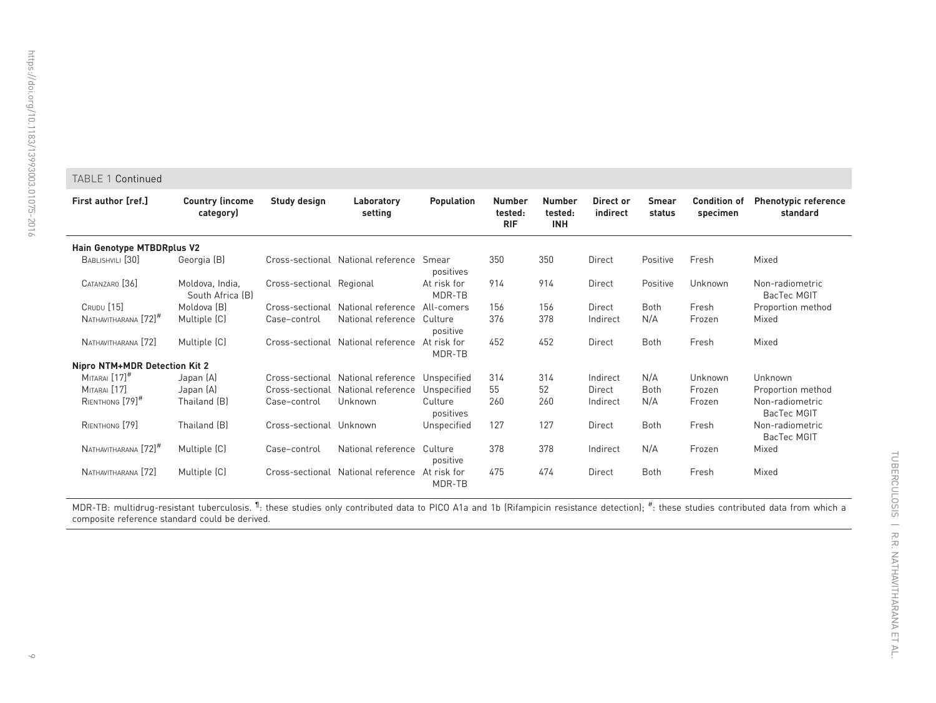#### TABLE 1 Continued

| <b>First author [ref.]</b>        | <b>Country (income)</b><br>category) | Study design<br><b>Population</b><br><b>Number</b><br>Laboratory<br>tested:<br>setting<br><b>RIF</b> |                                                | <b>Number</b><br>tested:<br><b>INH</b> | Direct or<br>indirect | <b>Smear</b><br>status | <b>Condition of</b><br>specimen | <b>Phenotypic reference</b><br>standard |         |                                |
|-----------------------------------|--------------------------------------|------------------------------------------------------------------------------------------------------|------------------------------------------------|----------------------------------------|-----------------------|------------------------|---------------------------------|-----------------------------------------|---------|--------------------------------|
| <b>Hain Genotype MTBDRplus V2</b> |                                      |                                                                                                      |                                                |                                        |                       |                        |                                 |                                         |         |                                |
| BABLISHVILI <sup>[30]</sup>       | Georgia (B)                          |                                                                                                      | Cross-sectional National reference Smear       | positives                              | 350                   | 350                    | Direct                          | Positive                                | Fresh   | Mixed                          |
| CATANZARO [36]                    | Moldova, India,<br>South Africa [B]  | Cross-sectional Regional                                                                             |                                                | At risk for<br>MDR-TB                  | 914                   | 914                    | Direct                          | Positive                                | Unknown | Non-radiometric<br>BacTec MGIT |
| <b>CRUDU</b> [15]                 | Moldova (B)                          |                                                                                                      | Cross-sectional National reference             | All-comers                             | 156                   | 156                    | Direct                          | Both                                    | Fresh   | Proportion method              |
| NATHAVITHARANA [72] <sup>#</sup>  | Multiple (C)                         | Case-control                                                                                         | National reference                             | Culture<br>positive                    | 376                   | 378                    | Indirect                        | N/A                                     | Frozen  | Mixed                          |
| NATHAVITHARANA [72]               | Multiple (C)                         |                                                                                                      | Cross-sectional National reference             | At risk for<br>MDR-TB                  | 452                   | 452                    | Direct                          | <b>Both</b>                             | Fresh   | Mixed                          |
| Nipro NTM+MDR Detection Kit 2     |                                      |                                                                                                      |                                                |                                        |                       |                        |                                 |                                         |         |                                |
| $MITARAI$ $[17]$ <sup>#</sup>     | Japan (A)                            |                                                                                                      | Cross-sectional National reference Unspecified |                                        | 314                   | 314                    | Indirect                        | N/A                                     | Unknown | Unknown                        |
| MITARAI [17]                      | Japan (A)                            |                                                                                                      | Cross-sectional National reference             | Unspecified                            | 55                    | 52                     | Direct                          | <b>Both</b>                             | Frozen  | Proportion method              |
| RIENTHONG [79] <sup>#</sup>       | Thailand (B)                         | Case-control                                                                                         | Unknown                                        | Culture<br>positives                   | 260                   | 260                    | Indirect                        | N/A                                     | Frozen  | Non-radiometric<br>BacTec MGIT |
| RIENTHONG [79]                    | Thailand (B)                         | Cross-sectional Unknown                                                                              |                                                | Unspecified                            | 127                   | 127                    | Direct                          | <b>Both</b>                             | Fresh   | Non-radiometric<br>BacTec MGIT |
| NATHAVITHARANA [72] <sup>#</sup>  | Multiple (C)                         | Case-control                                                                                         | National reference                             | Culture<br>positive                    | 378                   | 378                    | Indirect                        | N/A                                     | Frozen  | Mixed                          |
| NATHAVITHARANA [72]               | Multiple (C)                         |                                                                                                      | Cross-sectional National reference             | At risk for<br>MDR-TB                  | 475                   | 474                    | Direct                          | <b>Both</b>                             | Fresh   | Mixed                          |

<code>MDR-TB</code>: multidrug-resistant tuberculosis.  $^{\P}$ : these studies only contributed data to PICO A1a and 1b (Rifampicin resistance detection);  $^{\#}$ : these studies contributed data from which a composite reference standard could be derived.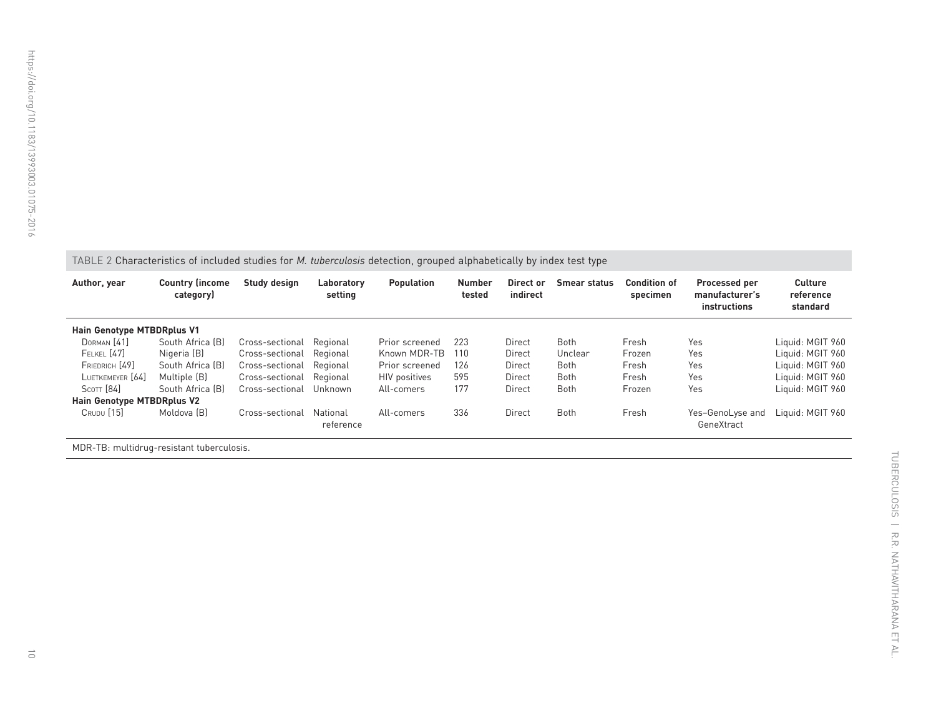<span id="page-9-0"></span>TABLE 2 Characteristics of included studies for *M. tuberculosis* detection, grouped alphabetically by index test type

| Author, year               | <b>Country (income)</b><br>category) | Study design             | Laboratory<br>setting | <b>Population</b>    | <b>Number</b><br>Direct or<br>indirect<br>tested |        | <b>Smear status</b> | <b>Condition of</b><br>specimen | Processed per<br>manufacturer's<br>instructions | <b>Culture</b><br>reference<br>standard |
|----------------------------|--------------------------------------|--------------------------|-----------------------|----------------------|--------------------------------------------------|--------|---------------------|---------------------------------|-------------------------------------------------|-----------------------------------------|
| Hain Genotype MTBDRplus V1 |                                      |                          |                       |                      |                                                  |        |                     |                                 |                                                 |                                         |
| DORMAN [41]                | South Africa [B]                     | Cross-sectional          | Regional              | Prior screened       | 223                                              | Direct | <b>Both</b>         | Fresh                           | Yes                                             | Liquid: MGIT 960                        |
| <b>FELKEL</b> [47]         | Nigeria (B)                          | Cross-sectional          | Regional              | Known MDR-TB         | 110                                              | Direct | Unclear             | Frozen                          | Yes                                             | Liquid: MGIT 960                        |
| FRIEDRICH [49]             | South Africa (B)                     | Cross-sectional          | Regional              | Prior screened       | 126                                              | Direct | <b>Both</b>         | Fresh                           | Yes                                             | Liquid: MGIT 960                        |
| LUETKEMEYER [64]           | Multiple (B)                         | Cross-sectional Regional |                       | <b>HIV</b> positives | 595                                              | Direct | <b>Both</b>         | Fresh                           | Yes                                             | Liquid: MGIT 960                        |
| $S$ COTT $[84]$            | South Africa [B]                     | Cross-sectional Unknown  |                       | All-comers           | 177                                              | Direct | <b>Both</b>         | Frozen                          | Yes                                             | Liquid: MGIT 960                        |
| Hain Genotype MTBDRplus V2 |                                      |                          |                       |                      |                                                  |        |                     |                                 |                                                 |                                         |
| CRUDU [15]                 | Moldova (B)                          | Cross-sectional          | National<br>reference | All-comers           | 336                                              | Direct | <b>Both</b>         | Fresh                           | Yes-GenoLyse and<br>GeneXtract                  | Liquid: MGIT 960                        |
|                            |                                      |                          |                       |                      |                                                  |        |                     |                                 |                                                 |                                         |

MDR-TB: multidrug-resistant tuberculosis.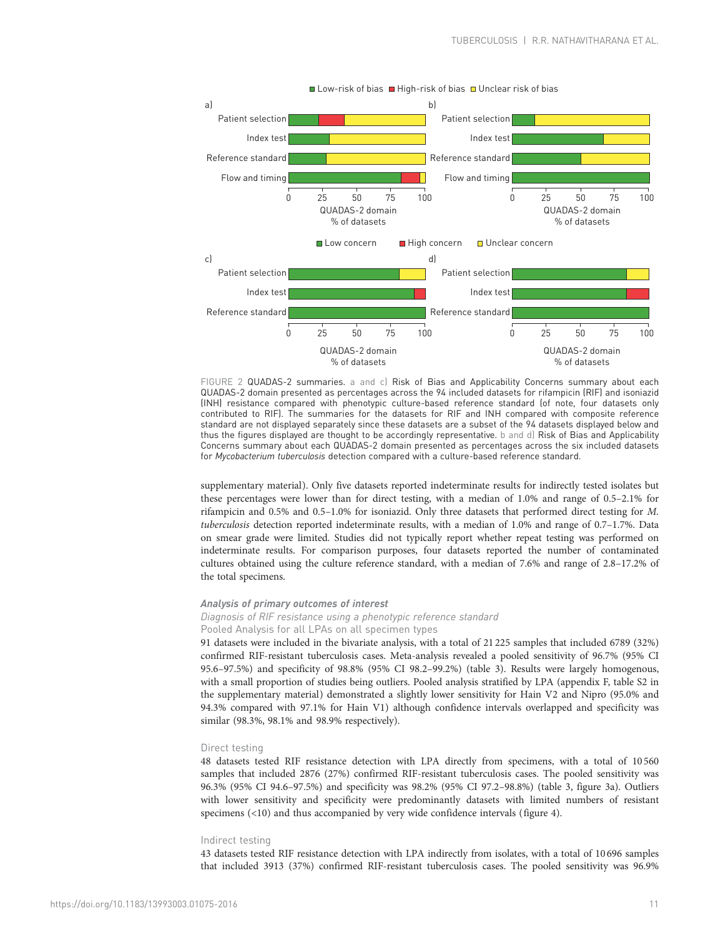<span id="page-10-0"></span>

FIGURE 2 QUADAS-2 summaries. a and c) Risk of Bias and Applicability Concerns summary about each QUADAS-2 domain presented as percentages across the 94 included datasets for rifampicin (RIF) and isoniazid (INH) resistance compared with phenotypic culture-based reference standard (of note, four datasets only contributed to RIF). The summaries for the datasets for RIF and INH compared with composite reference standard are not displayed separately since these datasets are a subset of the 94 datasets displayed below and thus the figures displayed are thought to be accordingly representative. b and d) Risk of Bias and Applicability Concerns summary about each QUADAS-2 domain presented as percentages across the six included datasets for Mycobacterium tuberculosis detection compared with a culture-based reference standard.

supplementary material). Only five datasets reported indeterminate results for indirectly tested isolates but these percentages were lower than for direct testing, with a median of 1.0% and range of 0.5–2.1% for rifampicin and 0.5% and 0.5–1.0% for isoniazid. Only three datasets that performed direct testing for M. tuberculosis detection reported indeterminate results, with a median of 1.0% and range of 0.7–1.7%. Data on smear grade were limited. Studies did not typically report whether repeat testing was performed on indeterminate results. For comparison purposes, four datasets reported the number of contaminated cultures obtained using the culture reference standard, with a median of 7.6% and range of 2.8–17.2% of the total specimens.

# Analysis of primary outcomes of interest

# Diagnosis of RIF resistance using a phenotypic reference standard Pooled Analysis for all LPAs on all specimen types

91 datasets were included in the bivariate analysis, with a total of 21 225 samples that included 6789 (32%) confirmed RIF-resistant tuberculosis cases. Meta-analysis revealed a pooled sensitivity of 96.7% (95% CI 95.6–97.5%) and specificity of 98.8% (95% CI 98.2–99.2%) [\(table 3\)](#page-11-0). Results were largely homogenous, with a small proportion of studies being outliers. Pooled analysis stratified by LPA (appendix F, table S2 in the supplementary material) demonstrated a slightly lower sensitivity for Hain V2 and Nipro (95.0% and 94.3% compared with 97.1% for Hain V1) although confidence intervals overlapped and specificity was similar (98.3%, 98.1% and 98.9% respectively).

#### Direct testing

48 datasets tested RIF resistance detection with LPA directly from specimens, with a total of 10 560 samples that included 2876 (27%) confirmed RIF-resistant tuberculosis cases. The pooled sensitivity was 96.3% (95% CI 94.6–97.5%) and specificity was 98.2% (95% CI 97.2–98.8%) ([table 3,](#page-11-0) [figure 3a](#page-16-0)). Outliers with lower sensitivity and specificity were predominantly datasets with limited numbers of resistant specimens (<10) and thus accompanied by very wide confidence intervals [\(figure 4](#page-12-0)).

#### Indirect testing

43 datasets tested RIF resistance detection with LPA indirectly from isolates, with a total of 10 696 samples that included 3913 (37%) confirmed RIF-resistant tuberculosis cases. The pooled sensitivity was 96.9%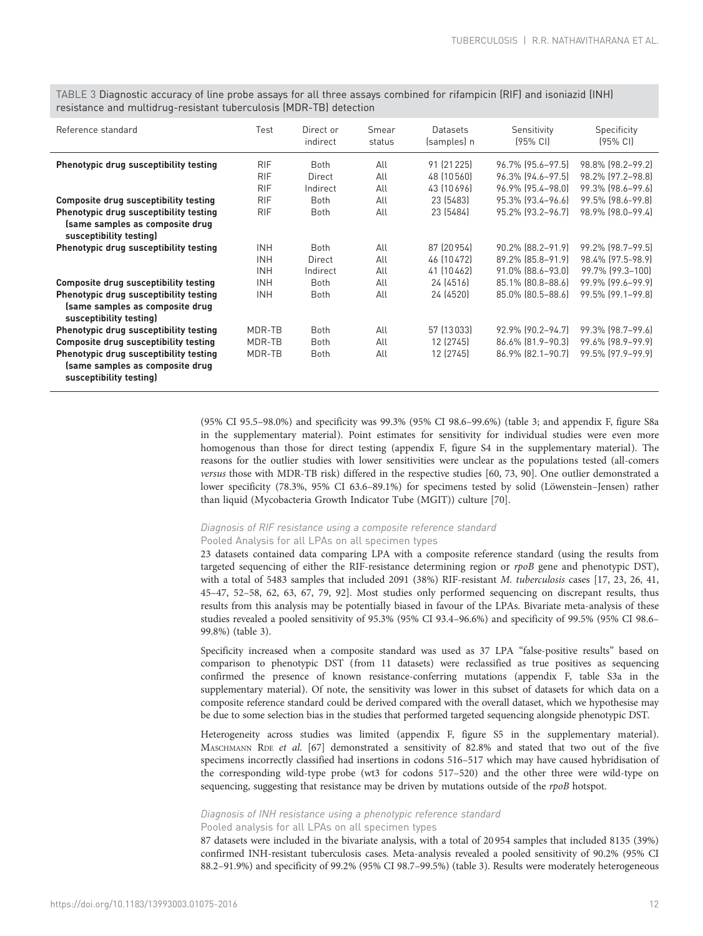<span id="page-11-0"></span>TABLE 3 Diagnostic accuracy of line probe assays for all three assays combined for rifampicin (RIF) and isoniazid (INH) resistance and multidrug-resistant tuberculosis (MDR-TB) detection

| Reference standard                                         | Test       | Direct or<br>indirect | Smear<br>status | Datasets<br>(samples) n | Sensitivity<br>$[95\% \text{ Cl}]$ | Specificity<br>$[95%$ CI |
|------------------------------------------------------------|------------|-----------------------|-----------------|-------------------------|------------------------------------|--------------------------|
| Phenotypic drug susceptibility testing                     | <b>RIF</b> | <b>Both</b>           | All             | 91 (21 2 2 5 )          | 96.7% [95.6-97.5]                  | 98.8% (98.2–99.2)        |
|                                                            | <b>RIF</b> | Direct                | All             | 48 (10 560)             | 96.3% [94.6-97.5]                  | 98.2% [97.2-98.8]        |
|                                                            | <b>RIF</b> | Indirect              | All             | 43 (10 696)             | 96.9% [95.4-98.0]                  | 99.3% [98.6-99.6]        |
| <b>Composite drug susceptibility testing</b>               | <b>RIF</b> | Both                  | All             | 23 (5483)               | 95.3% [93.4-96.6]                  | 99.5% [98.6-99.8]        |
| Phenotypic drug susceptibility testing                     | <b>RIF</b> | Both                  | All             | 23 (5484)               | 95.2% [93.2-96.7]                  | 98.9% (98.0-99.4)        |
| (same samples as composite drug<br>susceptibility testing) |            |                       |                 |                         |                                    |                          |
| Phenotypic drug susceptibility testing                     | <b>INH</b> | <b>Both</b>           | All             | 87 (20 954)             | 90.2% [88.2-91.9]                  | 99.2% [98.7-99.5]        |
|                                                            | <b>INH</b> | Direct                | All             | 46 (10 472)             | 89.2% [85.8-91.9]                  | 98.4% [97.5-98.9]        |
|                                                            | <b>INH</b> | Indirect              | All             | 41 (10 462)             | 91.0% [88.6-93.0]                  | 99.7% [99.3-100]         |
| <b>Composite drug susceptibility testing</b>               | <b>INH</b> | <b>Both</b>           | All             | 24 (4516)               | 85.1% [80.8-88.6]                  | 99.9% [99.6-99.9]        |
| Phenotypic drug susceptibility testing                     | <b>INH</b> | Both                  | All             | 24 (4520)               | 85.0% [80.5-88.6]                  | $99.5\%$ $[99.1 - 99.8]$ |
| (same samples as composite drug<br>susceptibility testing) |            |                       |                 |                         |                                    |                          |
| Phenotypic drug susceptibility testing                     | MDR-TB     | <b>Both</b>           | All             | 57 (13 033)             | 92.9% [90.2-94.7]                  | 99.3% [98.7-99.6]        |
| <b>Composite drug susceptibility testing</b>               | MDR-TB     | <b>Both</b>           | All             | 12 (2745)               | 86.6% [81.9-90.3]                  | 99.6% [98.9-99.9]        |
| Phenotypic drug susceptibility testing                     | MDR-TB     | Both                  | All             | 12 (2745)               | 86.9% [82.1-90.7]                  | 99.5% [97.9-99.9]        |
| (same samples as composite drug<br>susceptibility testing) |            |                       |                 |                         |                                    |                          |

(95% CI 95.5–98.0%) and specificity was 99.3% (95% CI 98.6–99.6%) (table 3; and appendix F, figure S8a in the supplementary material). Point estimates for sensitivity for individual studies were even more homogenous than those for direct testing (appendix F, figure S4 in the supplementary material). The reasons for the outlier studies with lower sensitivities were unclear as the populations tested (all-comers versus those with MDR-TB risk) differed in the respective studies [\[60](#page-20-0), [73](#page-21-0), [90](#page-21-0)]. One outlier demonstrated a lower specificity (78.3%, 95% CI 63.6–89.1%) for specimens tested by solid (Löwenstein–Jensen) rather than liquid (Mycobacteria Growth Indicator Tube (MGIT)) culture [[70\]](#page-21-0).

# Diagnosis of RIF resistance using a composite reference standard Pooled Analysis for all LPAs on all specimen types

23 datasets contained data comparing LPA with a composite reference standard (using the results from targeted sequencing of either the RIF-resistance determining region or rpoB gene and phenotypic DST), with a total of 5483 samples that included 2091 (38%) RIF-resistant M. tuberculosis cases [\[17, 23, 26, 41](#page-19-0), [45](#page-20-0)–[47, 52](#page-20-0)–[58, 62](#page-20-0), [63](#page-20-0), [67,](#page-20-0) [79, 92](#page-21-0)]. Most studies only performed sequencing on discrepant results, thus results from this analysis may be potentially biased in favour of the LPAs. Bivariate meta-analysis of these studies revealed a pooled sensitivity of 95.3% (95% CI 93.4–96.6%) and specificity of 99.5% (95% CI 98.6– 99.8%) (table 3).

Specificity increased when a composite standard was used as 37 LPA "false-positive results" based on comparison to phenotypic DST (from 11 datasets) were reclassified as true positives as sequencing confirmed the presence of known resistance-conferring mutations (appendix F, table S3a in the supplementary material). Of note, the sensitivity was lower in this subset of datasets for which data on a composite reference standard could be derived compared with the overall dataset, which we hypothesise may be due to some selection bias in the studies that performed targeted sequencing alongside phenotypic DST.

Heterogeneity across studies was limited (appendix F, figure S5 in the supplementary material). MASCHMANN RDE et al. [[67](#page-21-0)] demonstrated a sensitivity of 82.8% and stated that two out of the five specimens incorrectly classified had insertions in codons 516–517 which may have caused hybridisation of the corresponding wild-type probe (wt3 for codons 517–520) and the other three were wild-type on sequencing, suggesting that resistance may be driven by mutations outside of the rpoB hotspot.

# Diagnosis of INH resistance using a phenotypic reference standard Pooled analysis for all LPAs on all specimen types

87 datasets were included in the bivariate analysis, with a total of 20 954 samples that included 8135 (39%) confirmed INH-resistant tuberculosis cases. Meta-analysis revealed a pooled sensitivity of 90.2% (95% CI 88.2–91.9%) and specificity of 99.2% (95% CI 98.7–99.5%) (table 3). Results were moderately heterogeneous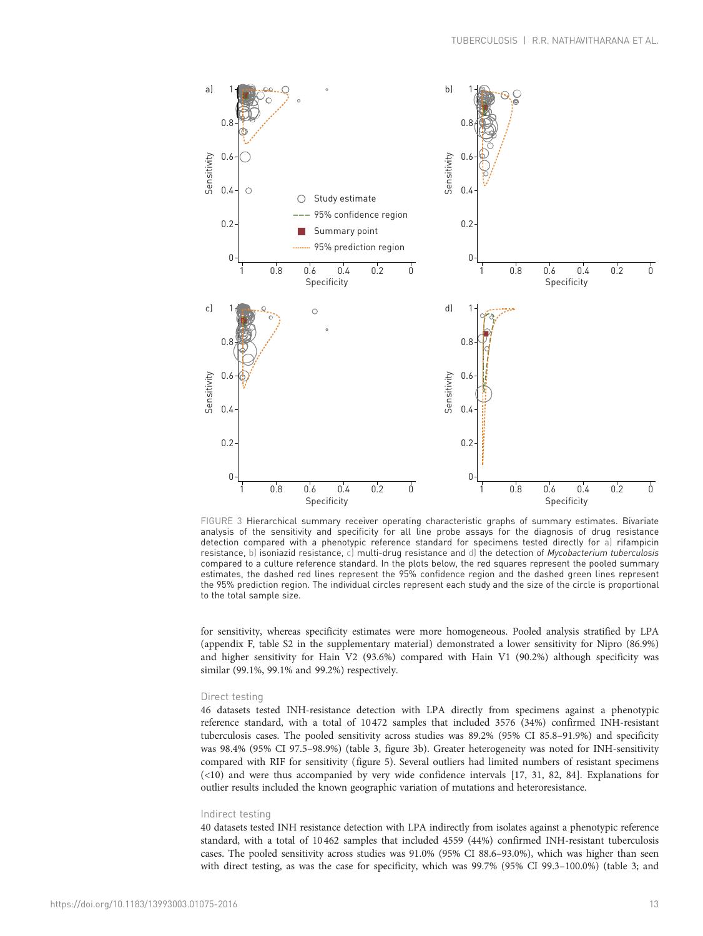<span id="page-12-0"></span>

FIGURE 3 Hierarchical summary receiver operating characteristic graphs of summary estimates. Bivariate analysis of the sensitivity and specificity for all line probe assays for the diagnosis of drug resistance detection compared with a phenotypic reference standard for specimens tested directly for a) rifampicin resistance, b) isoniazid resistance, c) multi-drug resistance and d) the detection of Mycobacterium tuberculosis compared to a culture reference standard. In the plots below, the red squares represent the pooled summary estimates, the dashed red lines represent the 95% confidence region and the dashed green lines represent the 95% prediction region. The individual circles represent each study and the size of the circle is proportional to the total sample size.

for sensitivity, whereas specificity estimates were more homogeneous. Pooled analysis stratified by LPA (appendix F, table S2 in the supplementary material) demonstrated a lower sensitivity for Nipro (86.9%) and higher sensitivity for Hain V2 (93.6%) compared with Hain V1 (90.2%) although specificity was similar (99.1%, 99.1% and 99.2%) respectively.

#### Direct testing

46 datasets tested INH-resistance detection with LPA directly from specimens against a phenotypic reference standard, with a total of 10472 samples that included 3576 (34%) confirmed INH-resistant tuberculosis cases. The pooled sensitivity across studies was 89.2% (95% CI 85.8–91.9%) and specificity was 98.4% (95% CI 97.5–98.9%) [\(table 3,](#page-11-0) [figure 3b\)](#page-16-0). Greater heterogeneity was noted for INH-sensitivity compared with RIF for sensitivity [\(figure 5](#page-13-0)). Several outliers had limited numbers of resistant specimens (<10) and were thus accompanied by very wide confidence intervals [[17, 31](#page-19-0), [82, 84](#page-21-0)]. Explanations for outlier results included the known geographic variation of mutations and heteroresistance.

#### Indirect testing

40 datasets tested INH resistance detection with LPA indirectly from isolates against a phenotypic reference standard, with a total of 10 462 samples that included 4559 (44%) confirmed INH-resistant tuberculosis cases. The pooled sensitivity across studies was 91.0% (95% CI 88.6–93.0%), which was higher than seen with direct testing, as was the case for specificity, which was 99.7% (95% CI 99.3–100.0%) [\(table 3](#page-11-0); and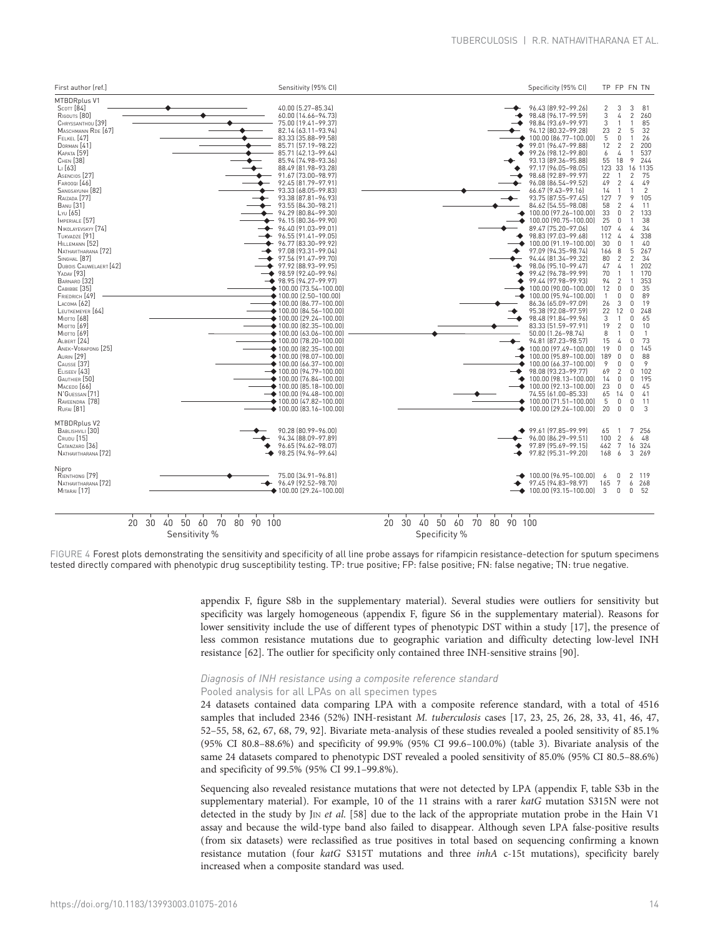<span id="page-13-0"></span>

Sensitivity %

Specificity %

FIGURE 4 Forest plots demonstrating the sensitivity and specificity of all line probe assays for rifampicin resistance-detection for sputum specimens tested directly compared with phenotypic drug susceptibility testing. TP: true positive; FP: false positive; FN: false negative; TN: true negative.

> appendix F, figure S8b in the supplementary material). Several studies were outliers for sensitivity but specificity was largely homogeneous (appendix F, figure S6 in the supplementary material). Reasons for lower sensitivity include the use of different types of phenotypic DST within a study [\[17\]](#page-19-0), the presence of less common resistance mutations due to geographic variation and difficulty detecting low-level INH resistance [\[62\]](#page-20-0). The outlier for specificity only contained three INH-sensitive strains [\[90\]](#page-21-0).

# Diagnosis of INH resistance using a composite reference standard

# Pooled analysis for all LPAs on all specimen types

24 datasets contained data comparing LPA with a composite reference standard, with a total of 4516 samples that included 2346 (52%) INH-resistant M. tuberculosis cases [\[17, 23, 25](#page-19-0), [26](#page-19-0), [28](#page-19-0), [33](#page-19-0), [41](#page-20-0), [46](#page-20-0), [47](#page-20-0), [52](#page-20-0)–[55, 58](#page-20-0), [62](#page-20-0), [67, 68](#page-21-0), [79](#page-21-0), [92\]](#page-21-0). Bivariate meta-analysis of these studies revealed a pooled sensitivity of 85.1% (95% CI 80.8–88.6%) and specificity of 99.9% (95% CI 99.6–100.0%) ([table 3\)](#page-11-0). Bivariate analysis of the same 24 datasets compared to phenotypic DST revealed a pooled sensitivity of 85.0% (95% CI 80.5–88.6%) and specificity of 99.5% (95% CI 99.1–99.8%).

Sequencing also revealed resistance mutations that were not detected by LPA (appendix F, table S3b in the supplementary material). For example, 10 of the 11 strains with a rarer katG mutation S315N were not detected in the study by J<sub>IN</sub> et al. [\[58](#page-20-0)] due to the lack of the appropriate mutation probe in the Hain V<sub>1</sub> assay and because the wild-type band also failed to disappear. Although seven LPA false-positive results (from six datasets) were reclassified as true positives in total based on sequencing confirming a known resistance mutation (four katG S315T mutations and three inhA c-15t mutations), specificity barely increased when a composite standard was used.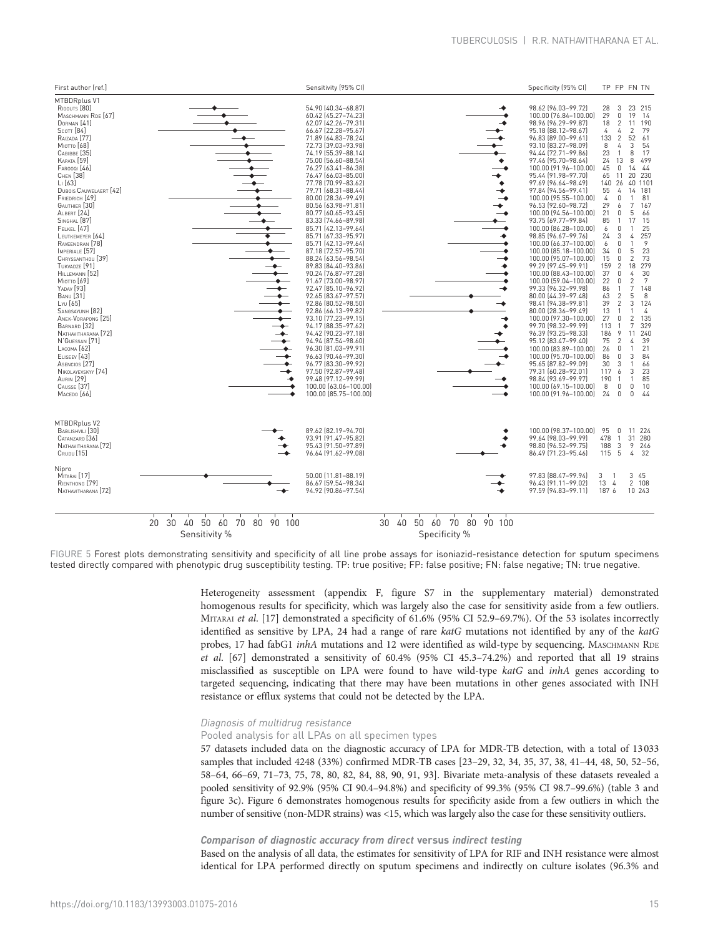|                             | 98.62 [96.03-99.72]<br>100.00 (76.84-100.00)<br>98.96 (96.29-99.87)<br>95.18 (88.12-98.67)<br>96.83 (89.00-99.61)<br>93.10 (83.27-98.09)<br>94.44 (72.71-99.86)<br>97.46 (95.70-98.64)<br>100.00 (91.96-100.00)<br>95.44 (91.98-97.70)                                                                                                                                                                                                                                                                                                                                                                                                                                                                            | 28<br>3<br>$\mathbb O$<br>29<br>$\sqrt{2}$<br>18<br>$\sqrt{4}$<br>4<br>$\overline{2}$<br>133<br>$\sqrt{4}$<br>8<br>23<br>$\overline{1}$<br>13<br>24<br>45<br>$\mathbb O$<br>65<br>11                                                                                                                                                                                                                                                                    | 23 215<br>19<br>- 14<br>11 190<br>79<br>$\overline{c}$<br>52<br>61<br>3<br>54<br>17<br>8<br>8<br>499<br>44<br>14                                                                                                                                                                                                                                                                                  |
|-----------------------------|-------------------------------------------------------------------------------------------------------------------------------------------------------------------------------------------------------------------------------------------------------------------------------------------------------------------------------------------------------------------------------------------------------------------------------------------------------------------------------------------------------------------------------------------------------------------------------------------------------------------------------------------------------------------------------------------------------------------|---------------------------------------------------------------------------------------------------------------------------------------------------------------------------------------------------------------------------------------------------------------------------------------------------------------------------------------------------------------------------------------------------------------------------------------------------------|---------------------------------------------------------------------------------------------------------------------------------------------------------------------------------------------------------------------------------------------------------------------------------------------------------------------------------------------------------------------------------------------------|
|                             | 97.69 (96.64-98.49)<br>97.84 [94.56-99.41]<br>100.00 (95.55-100.00)<br>96.53 (92.60-98.72)<br>100.00 (94.56-100.00)<br>93.75 (69.77-99.84)<br>100.00 (86.28-100.00)<br>98.85 (96.67-99.76)<br>100.00 (66.37-100.00)<br>100.00 (85.18-100.00)<br>100.00 (95.07-100.00)<br>99.29 [97.45-99.91]<br>100.00 (88.43-100.00)<br>100.00 (59.04-100.00)<br>99.33 [96.32-99.98]<br>80.00 (44.39-97.48)<br>98.41 (94.38-99.81)<br>80.00 (28.36-99.49)<br>100.00 (97.30-100.00)<br>99.70 (98.32-99.99)<br>96.39 (93.25-98.33)<br>95.12 (83.47-99.40)<br>100.00 (83.89-100.00)<br>100.00 (95.70-100.00)<br>95.65 (87.82-99.09)<br>79.31 (60.28-92.01)<br>98.84 (93.69-99.97)<br>100.00 (69.15-100.00)<br>100.00 (91.96-100.00) | 26<br>140<br>55<br>4<br>$\mathbf{0}$<br>4<br>29<br>6<br>21<br>0<br>85<br>6<br>$\mathbf{0}$<br>3<br>24<br>6<br>$\mathbf{0}$<br>34<br>$\mathbf{0}$<br>15<br>$\mathbf{0}$<br>159<br>$\overline{2}$<br>37<br>0<br>22<br>$\mathbf 0$<br>86<br>63<br>$\overline{2}$<br>39<br>$\overline{2}$<br>13<br>27<br>$\Omega$<br>113<br>9<br>186<br>75<br>$\overline{2}$<br>26<br>$\Omega$<br>86<br>$\mathbf 0$<br>30<br>3<br>117 6<br>190<br>$\overline{1}$<br>8<br>24 | 20<br>230<br>40 110<br>14 181<br>$\mathbf{1}$<br>81<br>7<br>167<br>66<br>5<br>15<br>17<br>25<br>257<br>4<br>9<br>5<br>23<br>73<br>$\overline{c}$<br>279<br>18<br>30<br>4<br>$\overline{7}$<br>$\overline{\mathbf{c}}$<br>7<br>148<br>5<br>8<br>3<br>124<br>4<br>$\overline{2}$<br>135<br>7<br>329<br>240<br>11<br>39<br>4<br>21<br>1<br>3<br>84<br>66<br>3<br>23<br>85<br>1<br>10<br>0<br>0<br>44 |
|                             | 100.00 (98.37-100.00)<br>99.64 (98.03-99.99)<br>98.80 (96.52-99.75)<br>86.49 [71.23-95.46]                                                                                                                                                                                                                                                                                                                                                                                                                                                                                                                                                                                                                        | 95<br>478<br>188<br>115                                                                                                                                                                                                                                                                                                                                                                                                                                 | 11 224<br>31 280<br>9<br>246<br>32<br>4                                                                                                                                                                                                                                                                                                                                                           |
|                             | 97.83 [88.47-99.94]<br>96.43 (91.11-99.02)<br>97.59 (94.83-99.11)                                                                                                                                                                                                                                                                                                                                                                                                                                                                                                                                                                                                                                                 | 3<br>$\overline{1}$                                                                                                                                                                                                                                                                                                                                                                                                                                     | 3 45<br>2 108<br>10 243                                                                                                                                                                                                                                                                                                                                                                           |
| $\sim$ $\sim$ $\sim$ $\sim$ | 50 60 70 80 90 100                                                                                                                                                                                                                                                                                                                                                                                                                                                                                                                                                                                                                                                                                                |                                                                                                                                                                                                                                                                                                                                                                                                                                                         | $\mathbb O$<br>0<br>0<br>$\mathbf{1}$<br>$\frac{3}{5}$<br>13 4<br>187 6                                                                                                                                                                                                                                                                                                                           |

Sensitivity %

Specificity %

FIGURE 5 Forest plots demonstrating sensitivity and specificity of all line probe assays for isoniazid-resistance detection for sputum specimens tested directly compared with phenotypic drug susceptibility testing. TP: true positive; FP: false positive; FN: false negative; TN: true negative.

> Heterogeneity assessment (appendix F, figure S7 in the supplementary material) demonstrated homogenous results for specificity, which was largely also the case for sensitivity aside from a few outliers. MITARAI et al. [[17\]](#page-19-0) demonstrated a specificity of 61.6% (95% CI 52.9–69.7%). Of the 53 isolates incorrectly identified as sensitive by LPA, 24 had a range of rare katG mutations not identified by any of the katG probes, 17 had fabG1 inhA mutations and 12 were identified as wild-type by sequencing. MASCHMANN RDE et al. [[67\]](#page-21-0) demonstrated a sensitivity of 60.4% (95% CI 45.3–74.2%) and reported that all 19 strains misclassified as susceptible on LPA were found to have wild-type katG and inhA genes according to targeted sequencing, indicating that there may have been mutations in other genes associated with INH resistance or efflux systems that could not be detected by the LPA.

# Diagnosis of multidrug resistance

Pooled analysis for all LPAs on all specimen types

57 datasets included data on the diagnostic accuracy of LPA for MDR-TB detection, with a total of 13033 samples that included 4248 (33%) confirmed MDR-TB cases [[23](#page-19-0)–[29](#page-19-0), [32](#page-19-0), [34](#page-20-0), [35](#page-20-0), [37](#page-20-0), [38](#page-20-0), [41](#page-20-0)–[44](#page-20-0), [48](#page-20-0), [50](#page-20-0), [52](#page-20-0)–[56](#page-20-0), [58](#page-20-0)–[64](#page-20-0), [66](#page-20-0)–[69](#page-21-0), [71](#page-21-0)–[73, 75](#page-21-0), [78](#page-21-0), [80, 82](#page-21-0), [84, 88, 90](#page-21-0), [91, 93](#page-21-0)]. Bivariate meta-analysis of these datasets revealed a pooled sensitivity of 92.9% (95% CI 90.4–94.8%) and specificity of 99.3% (95% CI 98.7–99.6%) [\(table 3](#page-11-0) and [figure 3c](#page-16-0)). Figure 6 demonstrates homogenous results for specificity aside from a few outliers in which the number of sensitive (non-MDR strains) was <15, which was largely also the case for these sensitivity outliers.

# Comparison of diagnostic accuracy from direct versus indirect testing

Based on the analysis of all data, the estimates for sensitivity of LPA for RIF and INH resistance were almost identical for LPA performed directly on sputum specimens and indirectly on culture isolates (96.3% and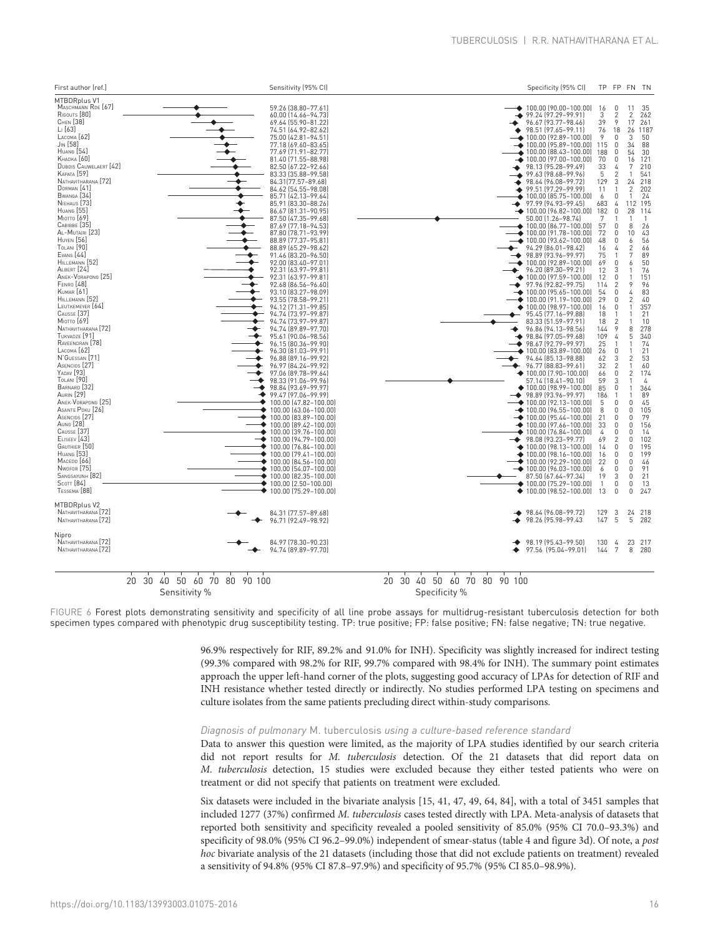<span id="page-15-0"></span>

Sensitivity %

FIGURE 6 Forest plots demonstrating sensitivity and specificity of all line probe assays for multidrug-resistant tuberculosis detection for both specimen types compared with phenotypic drug susceptibility testing. TP: true positive; FP: false positive; FN: false negative; TN: true negative.

> 96.9% respectively for RIF, 89.2% and 91.0% for INH). Specificity was slightly increased for indirect testing (99.3% compared with 98.2% for RIF, 99.7% compared with 98.4% for INH). The summary point estimates approach the upper left-hand corner of the plots, suggesting good accuracy of LPAs for detection of RIF and INH resistance whether tested directly or indirectly. No studies performed LPA testing on specimens and culture isolates from the same patients precluding direct within-study comparisons.

# Diagnosis of pulmonary M. tuberculosis using a culture-based reference standard

Data to answer this question were limited, as the majority of LPA studies identified by our search criteria did not report results for M. tuberculosis detection. Of the 21 datasets that did report data on M. tuberculosis detection, 15 studies were excluded because they either tested patients who were on treatment or did not specify that patients on treatment were excluded.

Six datasets were included in the bivariate analysis [[15](#page-19-0), [41, 47, 49](#page-20-0), [64](#page-20-0), [84](#page-21-0)], with a total of 3451 samples that included 1277 (37%) confirmed M. tuberculosis cases tested directly with LPA. Meta-analysis of datasets that reported both sensitivity and specificity revealed a pooled sensitivity of 85.0% (95% CI 70.0–93.3%) and specificity of 98.0% (95% CI 96.2–99.0%) independent of smear-status ([table 4](#page-16-0) and [figure 3d](#page-16-0)). Of note, a post hoc bivariate analysis of the 21 datasets (including those that did not exclude patients on treatment) revealed a sensitivity of 94.8% (95% CI 87.8–97.9%) and specificity of 95.7% (95% CI 85.0–98.9%).

Specificity %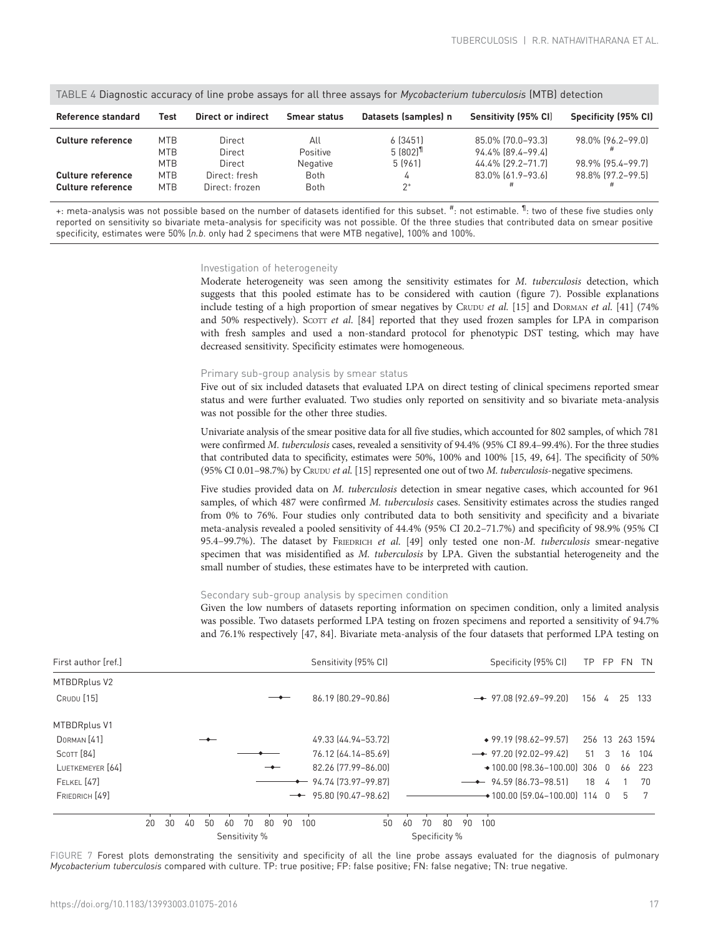<span id="page-16-0"></span>

| TABLE 4 Diagnostic accuracy of line probe assays for all three assays for <i>Mycobacterium tuberculosis</i> (MTB) detection |                                                                    |                                                               |                                                    |                                                            |                                                                                  |                                                             |  |  |  |  |  |  |  |
|-----------------------------------------------------------------------------------------------------------------------------|--------------------------------------------------------------------|---------------------------------------------------------------|----------------------------------------------------|------------------------------------------------------------|----------------------------------------------------------------------------------|-------------------------------------------------------------|--|--|--|--|--|--|--|
| Reference standard                                                                                                          | Test                                                               | Direct or indirect                                            | Smear status                                       | Datasets (samples) n                                       | Sensitivity (95% CI)                                                             | Specificity (95% CI)                                        |  |  |  |  |  |  |  |
| Culture reference<br>Culture reference<br><b>Culture reference</b>                                                          | <b>MTB</b><br><b>MTB</b><br><b>MTB</b><br><b>MTB</b><br><b>MTB</b> | Direct<br>Direct<br>Direct<br>Direct: fresh<br>Direct: frozen | All<br>Positive<br>Negative<br><b>Both</b><br>Both | 6[3451]<br>$5(802)$ <sup>11</sup><br>5 (961)<br>4<br>$2^+$ | 85.0% [70.0-93.3]<br>94.4% [89.4-99.4]<br>44.4% [29.2-71.7]<br>83.0% [61.9-93.6] | 98.0% (96.2-99.0)<br>98.9% (95.4-99.7)<br>98.8% [97.2-99.5] |  |  |  |  |  |  |  |

TABLE 4 Diagnostic accuracy of line probe assays for all three assays for Mycobacterium tuberculosis (MTB) detection

+: meta-analysis was not possible based on the number of datasets identified for this subset. <sup>#</sup>: not estimable. <sup>¶</sup>: two of these five studies only reported on sensitivity so bivariate meta-analysis for specificity was not possible. Of the three studies that contributed data on smear positive specificity, estimates were 50% (n.b. only had 2 specimens that were MTB negative), 100% and 100%.

#### Investigation of heterogeneity

Moderate heterogeneity was seen among the sensitivity estimates for M. tuberculosis detection, which suggests that this pooled estimate has to be considered with caution ([figure 7\)](#page-15-0). Possible explanations include testing of a high proportion of smear negatives by CRUDU et al. [\[15\]](#page-19-0) and DORMAN et al. [\[41\]](#page-20-0) (74% and 50% respectively). Scorr et al.  $[84]$  reported that they used frozen samples for LPA in comparison with fresh samples and used a non-standard protocol for phenotypic DST testing, which may have decreased sensitivity. Specificity estimates were homogeneous.

#### Primary sub-group analysis by smear status

Five out of six included datasets that evaluated LPA on direct testing of clinical specimens reported smear status and were further evaluated. Two studies only reported on sensitivity and so bivariate meta-analysis was not possible for the other three studies.

Univariate analysis of the smear positive data for all five studies, which accounted for 802 samples, of which 781 were confirmed M. tuberculosis cases, revealed a sensitivity of 94.4% (95% CI 89.4-99.4%). For the three studies that contributed data to specificity, estimates were 50%, 100% and 100% [[15](#page-19-0), [49, 64](#page-20-0)]. The specificity of 50% (95% CI 0.01–98.7%) by CRUDU et al. [\[15\]](#page-19-0) represented one out of two M. tuberculosis-negative specimens.

Five studies provided data on M. tuberculosis detection in smear negative cases, which accounted for 961 samples, of which 487 were confirmed M. tuberculosis cases. Sensitivity estimates across the studies ranged from 0% to 76%. Four studies only contributed data to both sensitivity and specificity and a bivariate meta-analysis revealed a pooled sensitivity of 44.4% (95% CI 20.2–71.7%) and specificity of 98.9% (95% CI 95.4–99.7%). The dataset by FRIEDRICH et al.  $[49]$  only tested one non-M. tuberculosis smear-negative specimen that was misidentified as M. tuberculosis by LPA. Given the substantial heterogeneity and the small number of studies, these estimates have to be interpreted with caution.

# Secondary sub-group analysis by specimen condition

Given the low numbers of datasets reporting information on specimen condition, only a limited analysis was possible. Two datasets performed LPA testing on frozen specimens and reported a sensitivity of 94.7% and 76.1% respectively [\[47,](#page-20-0) [84](#page-21-0)]. Bivariate meta-analysis of the four datasets that performed LPA testing on

| First author [ref.]    |    |    |    |    |    |               |    |    |     | Sensitivity (95% CI)              |    |    |               |    |    |     | Specificity (95% CI) |                                           |     |   | TP FP FN | TN              |
|------------------------|----|----|----|----|----|---------------|----|----|-----|-----------------------------------|----|----|---------------|----|----|-----|----------------------|-------------------------------------------|-----|---|----------|-----------------|
| <b>MTBDRplus V2</b>    |    |    |    |    |    |               |    |    |     |                                   |    |    |               |    |    |     |                      |                                           |     |   |          |                 |
| <b>CRUDU</b> [15]      |    |    |    |    |    |               |    |    |     | 86.19 (80.29-90.86)               |    |    |               |    |    |     |                      | $\rightarrow$ 97.08 [92.69-99.20]         | 156 | 4 | 25 133   |                 |
| MTBDRplus V1           |    |    |    |    |    |               |    |    |     |                                   |    |    |               |    |    |     |                      |                                           |     |   |          |                 |
| DORMAN <sub>[41]</sub> |    |    |    |    |    |               |    |    |     | 49.33 (44.94 - 53.72)             |    |    |               |    |    |     |                      | $*$ 99.19 (98.62–99.57)                   |     |   |          | 256 13 263 1594 |
| SCOTT <sub>[84]</sub>  |    |    |    |    |    |               |    |    |     | 76.12 (64.14-85.69)               |    |    |               |    |    |     |                      | $\rightarrow$ 97.20 (92.02-99.42)         | 51  | 3 | 16       | 104             |
| LUETKEMEYER [64]       |    |    |    |    |    |               |    |    |     | 82.26 [77.99-86.00]               |    |    |               |    |    |     |                      | $*100.00$ (98.36-100.00) 306 0            |     |   | 66       | 223             |
| FELKEL [47]            |    |    |    |    |    |               |    |    |     | $\rightarrow$ 94.74 [73.97-99.87] |    |    |               |    |    |     |                      | $-$ 94.59 (86.73-98.51)                   | 18  | 4 |          | 70              |
| FRIEDRICH [49]         |    |    |    |    |    |               |    |    |     | $\rightarrow$ 95.80 (90.47-98.62) |    |    |               |    |    |     |                      | $\rightarrow$ 100.00 (59.04-100.00) 114 0 |     |   | - 5      |                 |
|                        | 20 | 30 | 40 | 50 | 60 | 70            | 80 | 90 | 100 |                                   | 50 | 60 | 70            | 80 | 90 | 100 |                      |                                           |     |   |          |                 |
|                        |    |    |    |    |    | Sensitivity % |    |    |     |                                   |    |    | Specificity % |    |    |     |                      |                                           |     |   |          |                 |

FIGURE 7 Forest plots demonstrating the sensitivity and specificity of all the line probe assays evaluated for the diagnosis of pulmonary Mycobacterium tuberculosis compared with culture. TP: true positive; FP: false positive; FN: false negative; TN: true negative.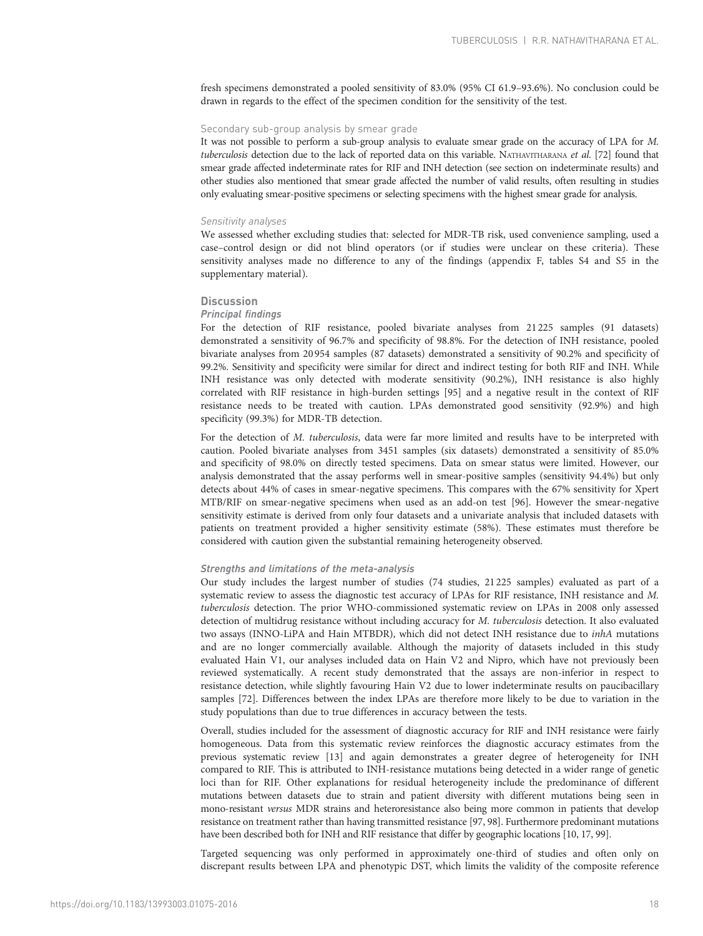fresh specimens demonstrated a pooled sensitivity of 83.0% (95% CI 61.9–93.6%). No conclusion could be drawn in regards to the effect of the specimen condition for the sensitivity of the test.

# Secondary sub-group analysis by smear grade

It was not possible to perform a sub-group analysis to evaluate smear grade on the accuracy of LPA for M. tuberculosis detection due to the lack of reported data on this variable. NATHAVITHARANA et al. [[72](#page-21-0)] found that smear grade affected indeterminate rates for RIF and INH detection (see section on indeterminate results) and other studies also mentioned that smear grade affected the number of valid results, often resulting in studies only evaluating smear-positive specimens or selecting specimens with the highest smear grade for analysis.

#### Sensitivity analyses

We assessed whether excluding studies that: selected for MDR-TB risk, used convenience sampling, used a case–control design or did not blind operators (or if studies were unclear on these criteria). These sensitivity analyses made no difference to any of the findings (appendix F, tables S4 and S5 in the supplementary material).

# **Discussion**

#### Principal findings

For the detection of RIF resistance, pooled bivariate analyses from 21 225 samples (91 datasets) demonstrated a sensitivity of 96.7% and specificity of 98.8%. For the detection of INH resistance, pooled bivariate analyses from 20954 samples (87 datasets) demonstrated a sensitivity of 90.2% and specificity of 99.2%. Sensitivity and specificity were similar for direct and indirect testing for both RIF and INH. While INH resistance was only detected with moderate sensitivity (90.2%), INH resistance is also highly correlated with RIF resistance in high-burden settings [\[95](#page-21-0)] and a negative result in the context of RIF resistance needs to be treated with caution. LPAs demonstrated good sensitivity (92.9%) and high specificity (99.3%) for MDR-TB detection.

For the detection of M. tuberculosis, data were far more limited and results have to be interpreted with caution. Pooled bivariate analyses from 3451 samples (six datasets) demonstrated a sensitivity of 85.0% and specificity of 98.0% on directly tested specimens. Data on smear status were limited. However, our analysis demonstrated that the assay performs well in smear-positive samples (sensitivity 94.4%) but only detects about 44% of cases in smear-negative specimens. This compares with the 67% sensitivity for Xpert MTB/RIF on smear-negative specimens when used as an add-on test [\[96](#page-21-0)]. However the smear-negative sensitivity estimate is derived from only four datasets and a univariate analysis that included datasets with patients on treatment provided a higher sensitivity estimate (58%). These estimates must therefore be considered with caution given the substantial remaining heterogeneity observed.

# Strengths and limitations of the meta-analysis

Our study includes the largest number of studies (74 studies, 21 225 samples) evaluated as part of a systematic review to assess the diagnostic test accuracy of LPAs for RIF resistance, INH resistance and M. tuberculosis detection. The prior WHO-commissioned systematic review on LPAs in 2008 only assessed detection of multidrug resistance without including accuracy for M. tuberculosis detection. It also evaluated two assays (INNO-LiPA and Hain MTBDR), which did not detect INH resistance due to inhA mutations and are no longer commercially available. Although the majority of datasets included in this study evaluated Hain V1, our analyses included data on Hain V2 and Nipro, which have not previously been reviewed systematically. A recent study demonstrated that the assays are non-inferior in respect to resistance detection, while slightly favouring Hain V2 due to lower indeterminate results on paucibacillary samples [\[72\]](#page-21-0). Differences between the index LPAs are therefore more likely to be due to variation in the study populations than due to true differences in accuracy between the tests.

Overall, studies included for the assessment of diagnostic accuracy for RIF and INH resistance were fairly homogeneous. Data from this systematic review reinforces the diagnostic accuracy estimates from the previous systematic review [\[13\]](#page-19-0) and again demonstrates a greater degree of heterogeneity for INH compared to RIF. This is attributed to INH-resistance mutations being detected in a wider range of genetic loci than for RIF. Other explanations for residual heterogeneity include the predominance of different mutations between datasets due to strain and patient diversity with different mutations being seen in mono-resistant versus MDR strains and heteroresistance also being more common in patients that develop resistance on treatment rather than having transmitted resistance [[97](#page-21-0), [98](#page-21-0)]. Furthermore predominant mutations have been described both for INH and RIF resistance that differ by geographic locations [\[10](#page-19-0), [17,](#page-19-0) [99](#page-21-0)].

Targeted sequencing was only performed in approximately one-third of studies and often only on discrepant results between LPA and phenotypic DST, which limits the validity of the composite reference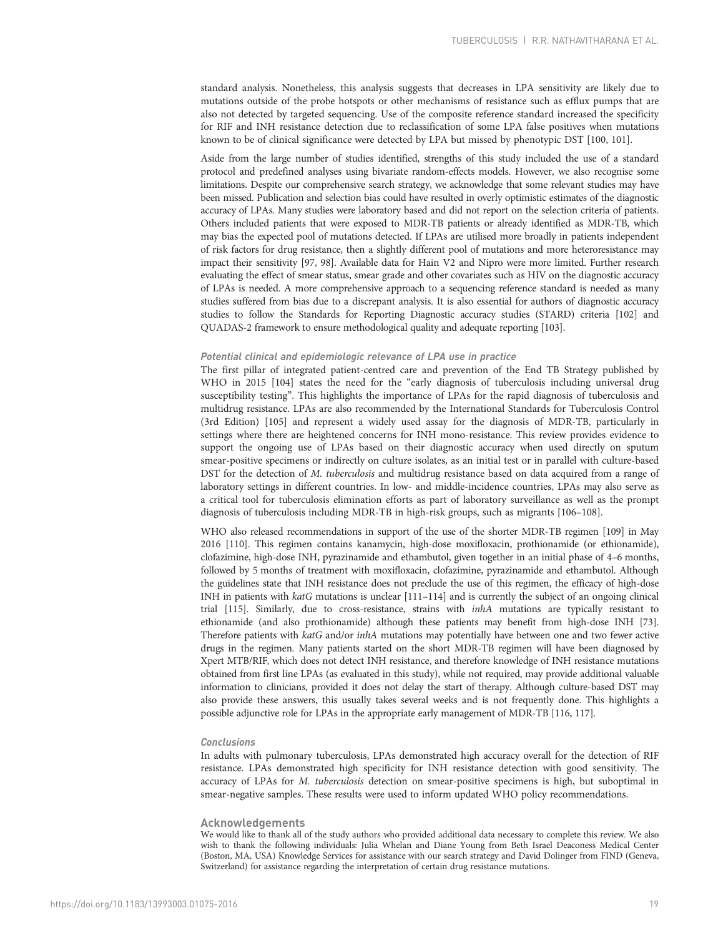standard analysis. Nonetheless, this analysis suggests that decreases in LPA sensitivity are likely due to mutations outside of the probe hotspots or other mechanisms of resistance such as efflux pumps that are also not detected by targeted sequencing. Use of the composite reference standard increased the specificity for RIF and INH resistance detection due to reclassification of some LPA false positives when mutations known to be of clinical significance were detected by LPA but missed by phenotypic DST [\[100](#page-22-0), [101\]](#page-22-0).

Aside from the large number of studies identified, strengths of this study included the use of a standard protocol and predefined analyses using bivariate random-effects models. However, we also recognise some limitations. Despite our comprehensive search strategy, we acknowledge that some relevant studies may have been missed. Publication and selection bias could have resulted in overly optimistic estimates of the diagnostic accuracy of LPAs. Many studies were laboratory based and did not report on the selection criteria of patients. Others included patients that were exposed to MDR-TB patients or already identified as MDR-TB, which may bias the expected pool of mutations detected. If LPAs are utilised more broadly in patients independent of risk factors for drug resistance, then a slightly different pool of mutations and more heteroresistance may impact their sensitivity [\[97, 98](#page-21-0)]. Available data for Hain V2 and Nipro were more limited. Further research evaluating the effect of smear status, smear grade and other covariates such as HIV on the diagnostic accuracy of LPAs is needed. A more comprehensive approach to a sequencing reference standard is needed as many studies suffered from bias due to a discrepant analysis. It is also essential for authors of diagnostic accuracy studies to follow the Standards for Reporting Diagnostic accuracy studies (STARD) criteria [\[102](#page-22-0)] and QUADAS-2 framework to ensure methodological quality and adequate reporting [\[103](#page-22-0)].

# Potential clinical and epidemiologic relevance of LPA use in practice

The first pillar of integrated patient-centred care and prevention of the End TB Strategy published by WHO in 2015 [\[104](#page-22-0)] states the need for the "early diagnosis of tuberculosis including universal drug susceptibility testing". This highlights the importance of LPAs for the rapid diagnosis of tuberculosis and multidrug resistance. LPAs are also recommended by the International Standards for Tuberculosis Control (3rd Edition) [\[105](#page-22-0)] and represent a widely used assay for the diagnosis of MDR-TB, particularly in settings where there are heightened concerns for INH mono-resistance. This review provides evidence to support the ongoing use of LPAs based on their diagnostic accuracy when used directly on sputum smear-positive specimens or indirectly on culture isolates, as an initial test or in parallel with culture-based DST for the detection of M. tuberculosis and multidrug resistance based on data acquired from a range of laboratory settings in different countries. In low- and middle-incidence countries, LPAs may also serve as a critical tool for tuberculosis elimination efforts as part of laboratory surveillance as well as the prompt diagnosis of tuberculosis including MDR-TB in high-risk groups, such as migrants [\[106](#page-22-0)–[108\]](#page-22-0).

WHO also released recommendations in support of the use of the shorter MDR-TB regimen [[109](#page-22-0)] in May 2016 [\[110\]](#page-22-0). This regimen contains kanamycin, high-dose moxifloxacin, prothionamide (or ethionamide), clofazimine, high-dose INH, pyrazinamide and ethambutol, given together in an initial phase of 4–6 months, followed by 5 months of treatment with moxifloxacin, clofazimine, pyrazinamide and ethambutol. Although the guidelines state that INH resistance does not preclude the use of this regimen, the efficacy of high-dose INH in patients with katG mutations is unclear [\[111](#page-22-0)–[114](#page-22-0)] and is currently the subject of an ongoing clinical trial [\[115\]](#page-22-0). Similarly, due to cross-resistance, strains with inhA mutations are typically resistant to ethionamide (and also prothionamide) although these patients may benefit from high-dose INH [\[73](#page-21-0)]. Therefore patients with katG and/or inhA mutations may potentially have between one and two fewer active drugs in the regimen. Many patients started on the short MDR-TB regimen will have been diagnosed by Xpert MTB/RIF, which does not detect INH resistance, and therefore knowledge of INH resistance mutations obtained from first line LPAs (as evaluated in this study), while not required, may provide additional valuable information to clinicians, provided it does not delay the start of therapy. Although culture-based DST may also provide these answers, this usually takes several weeks and is not frequently done. This highlights a possible adjunctive role for LPAs in the appropriate early management of MDR-TB [\[116, 117\]](#page-22-0).

#### Conclusions

In adults with pulmonary tuberculosis, LPAs demonstrated high accuracy overall for the detection of RIF resistance. LPAs demonstrated high specificity for INH resistance detection with good sensitivity. The accuracy of LPAs for M. tuberculosis detection on smear-positive specimens is high, but suboptimal in smear-negative samples. These results were used to inform updated WHO policy recommendations.

#### Acknowledgements

We would like to thank all of the study authors who provided additional data necessary to complete this review. We also wish to thank the following individuals: Julia Whelan and Diane Young from Beth Israel Deaconess Medical Center (Boston, MA, USA) Knowledge Services for assistance with our search strategy and David Dolinger from FIND (Geneva, Switzerland) for assistance regarding the interpretation of certain drug resistance mutations.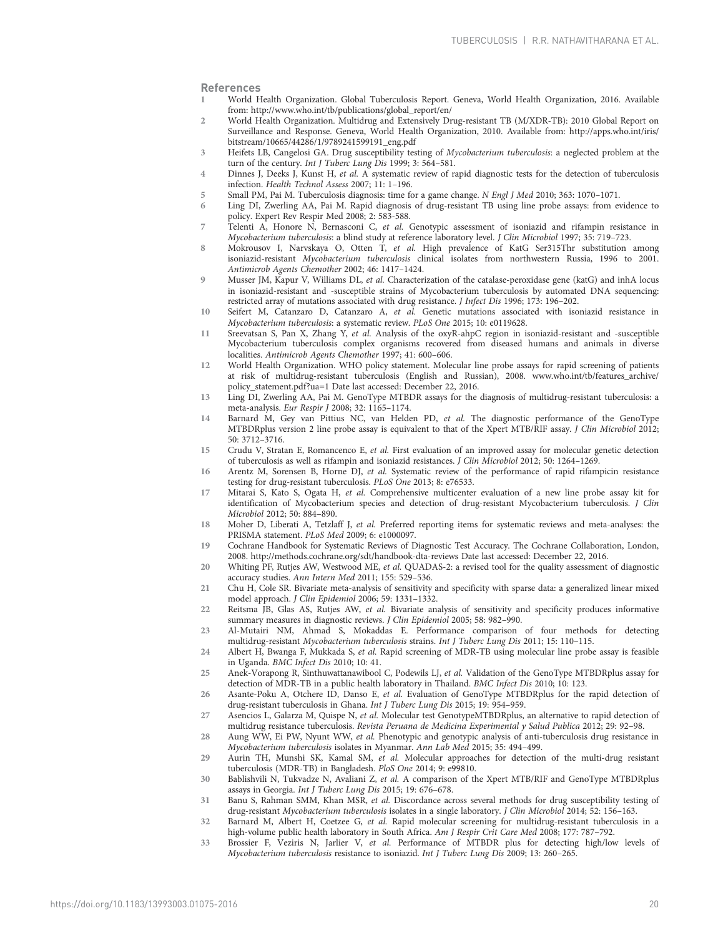# <span id="page-19-0"></span>References

- 1 World Health Organization. Global Tuberculosis Report. Geneva, World Health Organization, 2016. Available from: [http://www.who.int/tb/publications/global\\_report/en/](http://www.who.int/tb/publications/global_report/en/)
- 2 World Health Organization. Multidrug and Extensively Drug-resistant TB (M/XDR-TB): 2010 Global Report on Surveillance and Response. Geneva, World Health Organization, 2010. Available from: [http://apps.who.int/iris/](http://apps.who.int/iris/bitstream/10665/44286/1/9789241599191_eng.pdf) [bitstream/10665/44286/1/9789241599191\\_eng.pdf](http://apps.who.int/iris/bitstream/10665/44286/1/9789241599191_eng.pdf)
- 3 Heifets LB, Cangelosi GA. Drug susceptibility testing of Mycobacterium tuberculosis: a neglected problem at the turn of the century. Int J Tuberc Lung Dis 1999; 3: 564-581.
- 4 Dinnes J, Deeks J, Kunst H, et al. A systematic review of rapid diagnostic tests for the detection of tuberculosis infection. Health Technol Assess 2007; 11: 1–196.
- 5 Small PM, Pai M. Tuberculosis diagnosis: time for a game change. N Engl J Med 2010; 363: 1070–1071.<br>6 Ling DL Zwerling AA. Pai M. Rapid diagnosis of drug-resistant TB using line probe assays: from ey
- 6 Ling DI, Zwerling AA, Pai M. Rapid diagnosis of drug-resistant TB using line probe assays: from evidence to policy. Expert Rev Respir Med 2008; 2: 583-588.
- 7 Telenti A, Honore N, Bernasconi C, et al. Genotypic assessment of isoniazid and rifampin resistance in Mycobacterium tuberculosis: a blind study at reference laboratory level. J Clin Microbiol 1997; 35: 719–723.
- 8 Mokrousov I, Narvskaya O, Otten T, et al. High prevalence of KatG Ser315Thr substitution among isoniazid-resistant Mycobacterium tuberculosis clinical isolates from northwestern Russia, 1996 to 2001. Antimicrob Agents Chemother 2002; 46: 1417–1424.
- 9 Musser JM, Kapur V, Williams DL, et al. Characterization of the catalase-peroxidase gene (katG) and inhA locus in isoniazid-resistant and -susceptible strains of Mycobacterium tuberculosis by automated DNA sequencing: restricted array of mutations associated with drug resistance. J Infect Dis 1996; 173: 196–202.
- 10 Seifert M, Catanzaro D, Catanzaro A, et al. Genetic mutations associated with isoniazid resistance in Mycobacterium tuberculosis: a systematic review. PLoS One 2015; 10: e0119628.
- 11 Sreevatsan S, Pan X, Zhang Y, et al. Analysis of the oxyR-ahpC region in isoniazid-resistant and -susceptible Mycobacterium tuberculosis complex organisms recovered from diseased humans and animals in diverse localities. Antimicrob Agents Chemother 1997; 41: 600–606.
- 12 World Health Organization. WHO policy statement. Molecular line probe assays for rapid screening of patients at risk of multidrug-resistant tuberculosis (English and Russian), 2008. www.who.int/tb/features\_archive/ policy\_statement.pdf?ua=1 Date last accessed: December 22, 2016.
- 13 Ling DI, Zwerling AA, Pai M. GenoType MTBDR assays for the diagnosis of multidrug-resistant tuberculosis: a meta-analysis. Eur Respir J 2008; 32: 1165–1174.
- 14 Barnard M, Gey van Pittius NC, van Helden PD, et al. The diagnostic performance of the GenoType MTBDRplus version 2 line probe assay is equivalent to that of the Xpert MTB/RIF assay. J Clin Microbiol 2012; 50: 3712–3716.
- 15 Crudu V, Stratan E, Romancenco E, et al. First evaluation of an improved assay for molecular genetic detection of tuberculosis as well as rifampin and isoniazid resistances. J Clin Microbiol 2012; 50: 1264–1269.
- 16 Arentz M, Sorensen B, Horne DJ, et al. Systematic review of the performance of rapid rifampicin resistance testing for drug-resistant tuberculosis. PLoS One 2013; 8: e76533.
- 17 Mitarai S, Kato S, Ogata H, et al. Comprehensive multicenter evaluation of a new line probe assay kit for identification of Mycobacterium species and detection of drug-resistant Mycobacterium tuberculosis. J Clin Microbiol 2012; 50: 884–890.
- 18 Moher D, Liberati A, Tetzlaff J, et al. Preferred reporting items for systematic reviews and meta-analyses: the PRISMA statement. PLoS Med 2009; 6: e1000097.
- 19 Cochrane Handbook for Systematic Reviews of Diagnostic Test Accuracy. The Cochrane Collaboration, London, 2008. http://methods.cochrane.org/sdt/handbook-dta-reviews Date last accessed: December 22, 2016.
- 20 Whiting PF, Rutjes AW, Westwood ME, et al. QUADAS-2: a revised tool for the quality assessment of diagnostic accuracy studies. Ann Intern Med 2011; 155: 529–536.
- 21 Chu H, Cole SR. Bivariate meta-analysis of sensitivity and specificity with sparse data: a generalized linear mixed model approach. J Clin Epidemiol 2006; 59: 1331–1332.
- 22 Reitsma JB, Glas AS, Rutjes AW, et al. Bivariate analysis of sensitivity and specificity produces informative summary measures in diagnostic reviews. J Clin Epidemiol 2005; 58: 982–990.
- 23 Al-Mutairi NM, Ahmad S, Mokaddas E. Performance comparison of four methods for detecting multidrug-resistant Mycobacterium tuberculosis strains. Int J Tuberc Lung Dis 2011; 15: 110–115.
- 24 Albert H, Bwanga F, Mukkada S, et al. Rapid screening of MDR-TB using molecular line probe assay is feasible in Uganda. BMC Infect Dis 2010; 10: 41.
- 25 Anek-Vorapong R, Sinthuwattanawibool C, Podewils LJ, et al. Validation of the GenoType MTBDRplus assay for detection of MDR-TB in a public health laboratory in Thailand. BMC Infect Dis 2010; 10: 123.
- 26 Asante-Poku A, Otchere ID, Danso E, et al. Evaluation of GenoType MTBDRplus for the rapid detection of drug-resistant tuberculosis in Ghana. Int J Tuberc Lung Dis 2015; 19: 954–959.
- 27 Asencios L, Galarza M, Quispe N, et al. Molecular test GenotypeMTBDRplus, an alternative to rapid detection of multidrug resistance tuberculosis. Revista Peruana de Medicina Experimental y Salud Publica 2012; 29: 92–98.
- 28 Aung WW, Ei PW, Nyunt WW, et al. Phenotypic and genotypic analysis of anti-tuberculosis drug resistance in Mycobacterium tuberculosis isolates in Myanmar. Ann Lab Med 2015; 35: 494–499.
- 29 Aurin TH, Munshi SK, Kamal SM, et al. Molecular approaches for detection of the multi-drug resistant tuberculosis (MDR-TB) in Bangladesh. PloS One 2014; 9: e99810.
- 30 Bablishvili N, Tukvadze N, Avaliani Z, et al. A comparison of the Xpert MTB/RIF and GenoType MTBDRplus assays in Georgia. Int J Tuberc Lung Dis 2015; 19: 676–678.
- 31 Banu S, Rahman SMM, Khan MSR, et al. Discordance across several methods for drug susceptibility testing of drug-resistant Mycobacterium tuberculosis isolates in a single laboratory. J Clin Microbiol 2014; 52: 156–163.
- 32 Barnard M, Albert H, Coetzee G, et al. Rapid molecular screening for multidrug-resistant tuberculosis in a high-volume public health laboratory in South Africa. Am J Respir Crit Care Med 2008; 177: 787-792.
- 33 Brossier F, Veziris N, Jarlier V, et al. Performance of MTBDR plus for detecting high/low levels of Mycobacterium tuberculosis resistance to isoniazid. Int J Tuberc Lung Dis 2009; 13: 260–265.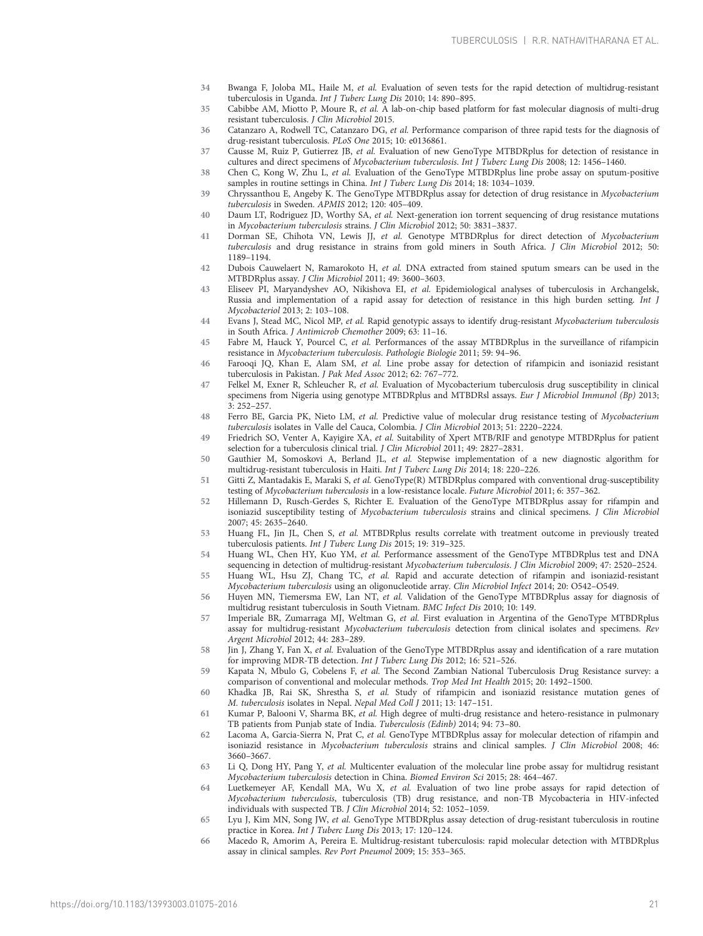- <span id="page-20-0"></span>34 Bwanga F, Joloba ML, Haile M, et al. Evaluation of seven tests for the rapid detection of multidrug-resistant tuberculosis in Uganda. Int J Tuberc Lung Dis 2010; 14: 890–895.
- 35 Cabibbe AM, Miotto P, Moure R, et al. A lab-on-chip based platform for fast molecular diagnosis of multi-drug resistant tuberculosis. J Clin Microbiol 2015.
- 36 Catanzaro A, Rodwell TC, Catanzaro DG, et al. Performance comparison of three rapid tests for the diagnosis of drug-resistant tuberculosis. PLoS One 2015; 10: e0136861.
- 37 Causse M, Ruiz P, Gutierrez JB, et al. Evaluation of new GenoType MTBDRplus for detection of resistance in cultures and direct specimens of Mycobacterium tuberculosis. Int J Tuberc Lung Dis 2008; 12: 1456–1460.
- 38 Chen C, Kong W, Zhu L, et al. Evaluation of the GenoType MTBDRplus line probe assay on sputum-positive samples in routine settings in China. Int J Tuberc Lung Dis 2014; 18: 1034–1039.
- 39 Chryssanthou E, Angeby K. The GenoType MTBDRplus assay for detection of drug resistance in Mycobacterium tuberculosis in Sweden. APMIS 2012; 120: 405–409.
- 40 Daum LT, Rodriguez JD, Worthy SA, et al. Next-generation ion torrent sequencing of drug resistance mutations in Mycobacterium tuberculosis strains. J Clin Microbiol 2012; 50: 3831–3837.
- 41 Dorman SE, Chihota VN, Lewis JJ, et al. Genotype MTBDRplus for direct detection of Mycobacterium tuberculosis and drug resistance in strains from gold miners in South Africa. J Clin Microbiol 2012; 50: 1189–1194.
- 42 Dubois Cauwelaert N, Ramarokoto H, et al. DNA extracted from stained sputum smears can be used in the MTBDRplus assay. J Clin Microbiol 2011; 49: 3600–3603.
- 43 Eliseev PI, Maryandyshev AO, Nikishova EI, et al. Epidemiological analyses of tuberculosis in Archangelsk, Russia and implementation of a rapid assay for detection of resistance in this high burden setting. Int J Mycobacteriol 2013; 2: 103–108.
- 44 Evans J, Stead MC, Nicol MP, et al. Rapid genotypic assays to identify drug-resistant Mycobacterium tuberculosis in South Africa. J Antimicrob Chemother 2009; 63: 11–16.
- 45 Fabre M, Hauck Y, Pourcel C, et al. Performances of the assay MTBDRplus in the surveillance of rifampicin resistance in Mycobacterium tuberculosis. Pathologie Biologie 2011; 59: 94–96.
- 46 Farooqi JQ, Khan E, Alam SM, et al. Line probe assay for detection of rifampicin and isoniazid resistant tuberculosis in Pakistan. J Pak Med Assoc 2012; 62: 767–772.
- 47 Felkel M, Exner R, Schleucher R, et al. Evaluation of Mycobacterium tuberculosis drug susceptibility in clinical specimens from Nigeria using genotype MTBDRplus and MTBDRsl assays. Eur J Microbiol Immunol (Bp) 2013; 3: 252–257.
- 48 Ferro BE, Garcia PK, Nieto LM, et al. Predictive value of molecular drug resistance testing of Mycobacterium tuberculosis isolates in Valle del Cauca, Colombia. J Clin Microbiol 2013; 51: 2220–2224.
- 49 Friedrich SO, Venter A, Kayigire XA, et al. Suitability of Xpert MTB/RIF and genotype MTBDRplus for patient selection for a tuberculosis clinical trial. J Clin Microbiol 2011; 49: 2827–2831.
- 50 Gauthier M, Somoskovi A, Berland JL, et al. Stepwise implementation of a new diagnostic algorithm for multidrug-resistant tuberculosis in Haiti. Int J Tuberc Lung Dis 2014; 18: 220–226.
- 51 Gitti Z, Mantadakis E, Maraki S, et al. GenoType(R) MTBDRplus compared with conventional drug-susceptibility testing of Mycobacterium tuberculosis in a low-resistance locale. Future Microbiol 2011; 6: 357–362.
- 52 Hillemann D, Rusch-Gerdes S, Richter E. Evaluation of the GenoType MTBDRplus assay for rifampin and isoniazid susceptibility testing of Mycobacterium tuberculosis strains and clinical specimens. J Clin Microbiol 2007; 45: 2635–2640.
- 53 Huang FL, Jin JL, Chen S, et al. MTBDRplus results correlate with treatment outcome in previously treated tuberculosis patients. Int J Tuberc Lung Dis 2015; 19: 319–325.
- 54 Huang WL, Chen HY, Kuo YM, et al. Performance assessment of the GenoType MTBDRplus test and DNA sequencing in detection of multidrug-resistant Mycobacterium tuberculosis. J Clin Microbiol 2009; 47: 2520-2524.
- 55 Huang WL, Hsu ZJ, Chang TC, et al. Rapid and accurate detection of rifampin and isoniazid-resistant Mycobacterium tuberculosis using an oligonucleotide array. Clin Microbiol Infect 2014; 20: O542–O549.
- 56 Huyen MN, Tiemersma EW, Lan NT, et al. Validation of the GenoType MTBDRplus assay for diagnosis of multidrug resistant tuberculosis in South Vietnam. BMC Infect Dis 2010; 10: 149.
- 57 Imperiale BR, Zumarraga MJ, Weltman G, et al. First evaluation in Argentina of the GenoType MTBDRplus assay for multidrug-resistant Mycobacterium tuberculosis detection from clinical isolates and specimens. Rev Argent Microbiol 2012; 44: 283–289.
- 58 Jin J, Zhang Y, Fan X, et al. Evaluation of the GenoType MTBDRplus assay and identification of a rare mutation for improving MDR-TB detection. Int J Tuberc Lung Dis 2012; 16: 521–526.
- 59 Kapata N, Mbulo G, Cobelens F, et al. The Second Zambian National Tuberculosis Drug Resistance survey: a comparison of conventional and molecular methods. Trop Med Int Health 2015; 20: 1492–1500.
- 60 Khadka JB, Rai SK, Shrestha S, et al. Study of rifampicin and isoniazid resistance mutation genes of M. tuberculosis isolates in Nepal. Nepal Med Coll J 2011; 13: 147–151.
- 61 Kumar P, Balooni V, Sharma BK, et al. High degree of multi-drug resistance and hetero-resistance in pulmonary TB patients from Punjab state of India. Tuberculosis (Edinb) 2014; 94: 73–80.
- 62 Lacoma A, Garcia-Sierra N, Prat C, et al. GenoType MTBDRplus assay for molecular detection of rifampin and isoniazid resistance in Mycobacterium tuberculosis strains and clinical samples. J Clin Microbiol 2008; 46: 3660–3667.
- 63 Li Q, Dong HY, Pang Y, et al. Multicenter evaluation of the molecular line probe assay for multidrug resistant Mycobacterium tuberculosis detection in China. Biomed Environ Sci 2015; 28: 464–467.
- 64 Luetkemeyer AF, Kendall MA, Wu X, et al. Evaluation of two line probe assays for rapid detection of Mycobacterium tuberculosis, tuberculosis (TB) drug resistance, and non-TB Mycobacteria in HIV-infected individuals with suspected TB. J Clin Microbiol 2014; 52: 1052–1059.
- 65 Lyu J, Kim MN, Song JW, et al. GenoType MTBDRplus assay detection of drug-resistant tuberculosis in routine practice in Korea. Int J Tuberc Lung Dis 2013; 17: 120–124.
- 66 Macedo R, Amorim A, Pereira E. Multidrug-resistant tuberculosis: rapid molecular detection with MTBDRplus assay in clinical samples. Rev Port Pneumol 2009; 15: 353–365.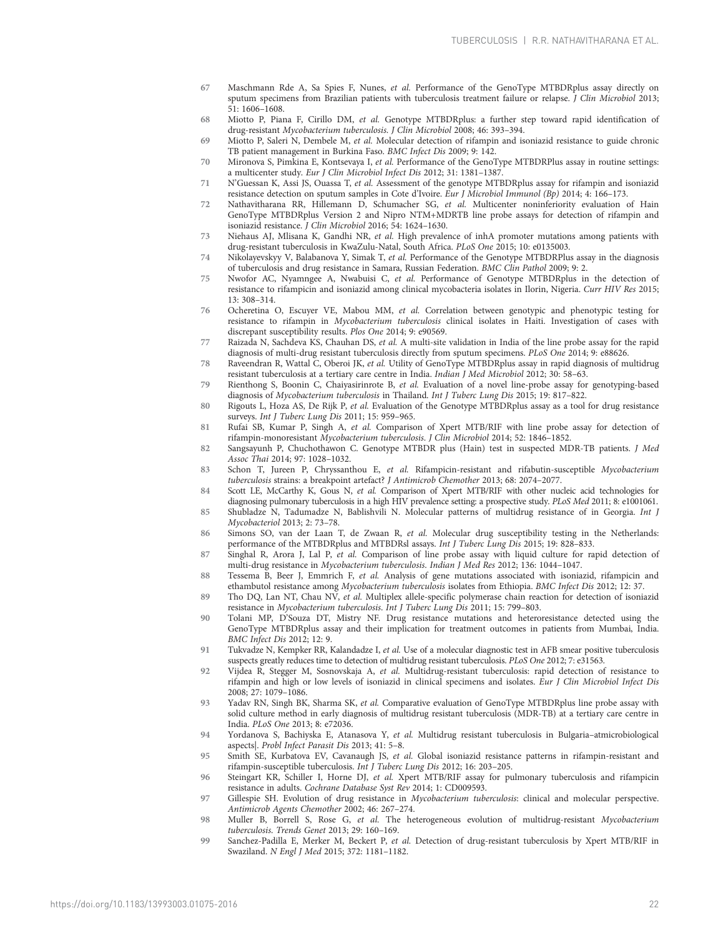- <span id="page-21-0"></span>67 Maschmann Rde A, Sa Spies F, Nunes, et al. Performance of the GenoType MTBDRplus assay directly on sputum specimens from Brazilian patients with tuberculosis treatment failure or relapse. J Clin Microbiol 2013; 51: 1606–1608.
- 68 Miotto P, Piana F, Cirillo DM, et al. Genotype MTBDRplus: a further step toward rapid identification of drug-resistant Mycobacterium tuberculosis. J Clin Microbiol 2008; 46: 393–394.
- 69 Miotto P, Saleri N, Dembele M, et al. Molecular detection of rifampin and isoniazid resistance to guide chronic TB patient management in Burkina Faso. BMC Infect Dis 2009; 9: 142.
- 70 Mironova S, Pimkina E, Kontsevaya I, et al. Performance of the GenoType MTBDRPlus assay in routine settings: a multicenter study. Eur J Clin Microbiol Infect Dis 2012; 31: 1381–1387.
- 71 N'Guessan K, Assi JS, Ouassa T, et al. Assessment of the genotype MTBDRplus assay for rifampin and isoniazid resistance detection on sputum samples in Cote d'Ivoire. Eur J Microbiol Immunol (Bp) 2014; 4: 166–173.
- 72 Nathavitharana RR, Hillemann D, Schumacher SG, et al. Multicenter noninferiority evaluation of Hain GenoType MTBDRplus Version 2 and Nipro NTM+MDRTB line probe assays for detection of rifampin and isoniazid resistance. J Clin Microbiol 2016; 54: 1624–1630.
- 73 Niehaus AJ, Mlisana K, Gandhi NR, et al. High prevalence of inhA promoter mutations among patients with drug-resistant tuberculosis in KwaZulu-Natal, South Africa. PLoS One 2015; 10: e0135003.
- 74 Nikolayevskyy V, Balabanova Y, Simak T, et al. Performance of the Genotype MTBDRPlus assay in the diagnosis of tuberculosis and drug resistance in Samara, Russian Federation. BMC Clin Pathol 2009; 9: 2.
- 75 Nwofor AC, Nyamngee A, Nwabuisi C, et al. Performance of Genotype MTBDRplus in the detection of resistance to rifampicin and isoniazid among clinical mycobacteria isolates in Ilorin, Nigeria. Curr HIV Res 2015; 13: 308–314.
- 76 Ocheretina O, Escuyer VE, Mabou MM, et al. Correlation between genotypic and phenotypic testing for resistance to rifampin in Mycobacterium tuberculosis clinical isolates in Haiti. Investigation of cases with discrepant susceptibility results. Plos One 2014; 9: e90569.
- 77 Raizada N, Sachdeva KS, Chauhan DS, et al. A multi-site validation in India of the line probe assay for the rapid diagnosis of multi-drug resistant tuberculosis directly from sputum specimens. PLoS One 2014; 9: e88626.
- 78 Raveendran R, Wattal C, Oberoi JK, et al. Utility of GenoType MTBDRplus assay in rapid diagnosis of multidrug resistant tuberculosis at a tertiary care centre in India. Indian J Med Microbiol 2012; 30: 58–63.
- 79 Rienthong S, Boonin C, Chaiyasirinrote B, et al. Evaluation of a novel line-probe assay for genotyping-based diagnosis of Mycobacterium tuberculosis in Thailand. Int J Tuberc Lung Dis 2015; 19: 817–822.
- 80 Rigouts L, Hoza AS, De Rijk P, et al. Evaluation of the Genotype MTBDRplus assay as a tool for drug resistance surveys. Int J Tuberc Lung Dis 2011; 15: 959–965.
- 81 Rufai SB, Kumar P, Singh A, et al. Comparison of Xpert MTB/RIF with line probe assay for detection of rifampin-monoresistant Mycobacterium tuberculosis. J Clin Microbiol 2014; 52: 1846–1852.
- 82 Sangsayunh P, Chuchothawon C. Genotype MTBDR plus (Hain) test in suspected MDR-TB patients. J Med Assoc Thai 2014; 97: 1028–1032.
- 83 Schon T, Jureen P, Chryssanthou E, et al. Rifampicin-resistant and rifabutin-susceptible Mycobacterium tuberculosis strains: a breakpoint artefact? J Antimicrob Chemother 2013; 68: 2074–2077.
- 84 Scott LE, McCarthy K, Gous N, et al. Comparison of Xpert MTB/RIF with other nucleic acid technologies for diagnosing pulmonary tuberculosis in a high HIV prevalence setting: a prospective study. PLoS Med 2011; 8: e1001061.
- 85 Shubladze N, Tadumadze N, Bablishvili N. Molecular patterns of multidrug resistance of in Georgia. Int J Mycobacteriol 2013; 2: 73–78.
- 86 Simons SO, van der Laan T, de Zwaan R, et al. Molecular drug susceptibility testing in the Netherlands: performance of the MTBDRplus and MTBDRsl assays. Int J Tuberc Lung Dis 2015; 19: 828–833.
- 87 Singhal R, Arora J, Lal P, et al. Comparison of line probe assay with liquid culture for rapid detection of multi-drug resistance in Mycobacterium tuberculosis. Indian J Med Res 2012; 136: 1044–1047.
- 88 Tessema B, Beer J, Emmrich F, et al. Analysis of gene mutations associated with isoniazid, rifampicin and ethambutol resistance among Mycobacterium tuberculosis isolates from Ethiopia. BMC Infect Dis 2012; 12: 37.
- 89 Tho DQ, Lan NT, Chau NV, et al. Multiplex allele-specific polymerase chain reaction for detection of isoniazid resistance in Mycobacterium tuberculosis. Int J Tuberc Lung Dis 2011; 15: 799–803.
- 90 Tolani MP, D'Souza DT, Mistry NF. Drug resistance mutations and heteroresistance detected using the GenoType MTBDRplus assay and their implication for treatment outcomes in patients from Mumbai, India. BMC Infect Dis 2012; 12: 9.
- 91 Tukvadze N, Kempker RR, Kalandadze I, et al. Use of a molecular diagnostic test in AFB smear positive tuberculosis suspects greatly reduces time to detection of multidrug resistant tuberculosis. PLoS One 2012; 7: e31563.
- 92 Vijdea R, Stegger M, Sosnovskaja A, et al. Multidrug-resistant tuberculosis: rapid detection of resistance to rifampin and high or low levels of isoniazid in clinical specimens and isolates. Eur J Clin Microbiol Infect Dis 2008; 27: 1079–1086.
- 93 Yadav RN, Singh BK, Sharma SK, et al. Comparative evaluation of GenoType MTBDRplus line probe assay with solid culture method in early diagnosis of multidrug resistant tuberculosis (MDR-TB) at a tertiary care centre in India. PLoS One 2013; 8: e72036.
- 94 Yordanova S, Bachiyska E, Atanasova Y, et al. Multidrug resistant tuberculosis in Bulgaria–atmicrobiological aspects|. Probl Infect Parasit Dis 2013; 41: 5–8.
- 95 Smith SE, Kurbatova EV, Cavanaugh JS, et al. Global isoniazid resistance patterns in rifampin-resistant and rifampin-susceptible tuberculosis. Int J Tuberc Lung Dis 2012; 16: 203–205.
- 96 Steingart KR, Schiller I, Horne DJ, et al. Xpert MTB/RIF assay for pulmonary tuberculosis and rifampicin resistance in adults. Cochrane Database Syst Rev 2014; 1: CD009593.
- 97 Gillespie SH. Evolution of drug resistance in Mycobacterium tuberculosis: clinical and molecular perspective. Antimicrob Agents Chemother 2002; 46: 267–274.
- 98 Muller B, Borrell S, Rose G, et al. The heterogeneous evolution of multidrug-resistant Mycobacterium tuberculosis. Trends Genet 2013; 29: 160–169.
- 99 Sanchez-Padilla E, Merker M, Beckert P, et al. Detection of drug-resistant tuberculosis by Xpert MTB/RIF in Swaziland. N Engl J Med 2015; 372: 1181–1182.